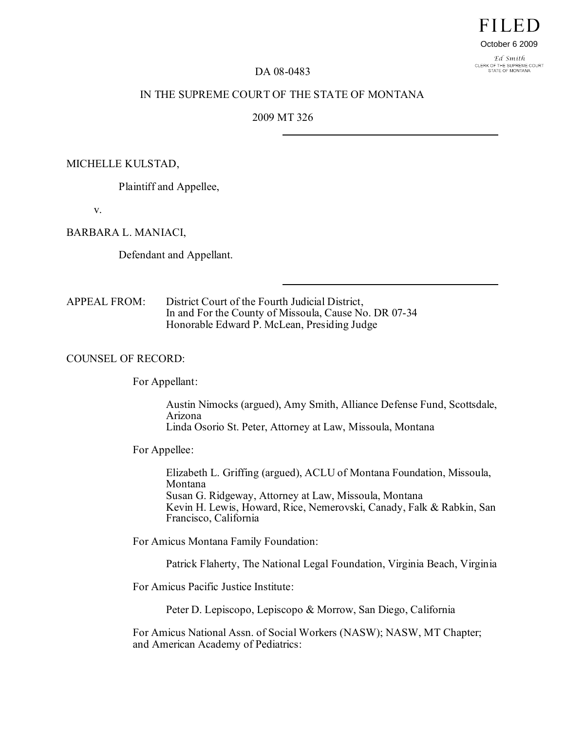# **FILED**

#### October 6 2009

Ed Smith CLERK OF THE SUPREME COURT<br>STATE OF MONTANA

## DA 08-0483

## IN THE SUPREME COURT OF THE STATE OF MONTANA

## 2009 MT 326

#### MICHELLE KULSTAD,

Plaintiff and Appellee,

v.

## BARBARA L. MANIACI,

Defendant and Appellant.

APPEAL FROM: District Court of the Fourth Judicial District, In and For the County of Missoula, Cause No. DR 07-34 Honorable Edward P. McLean, Presiding Judge

### COUNSEL OF RECORD:

For Appellant:

Austin Nimocks (argued), Amy Smith, Alliance Defense Fund, Scottsdale, Arizona Linda Osorio St. Peter, Attorney at Law, Missoula, Montana

For Appellee:

Elizabeth L. Griffing (argued), ACLU of Montana Foundation, Missoula, Montana Susan G. Ridgeway, Attorney at Law, Missoula, Montana Kevin H. Lewis, Howard, Rice, Nemerovski, Canady, Falk & Rabkin, San Francisco, California

For Amicus Montana Family Foundation:

Patrick Flaherty, The National Legal Foundation, Virginia Beach, Virginia

For Amicus Pacific Justice Institute:

Peter D. Lepiscopo, Lepiscopo & Morrow, San Diego, California

For Amicus National Assn. of Social Workers (NASW); NASW, MT Chapter; and American Academy of Pediatrics: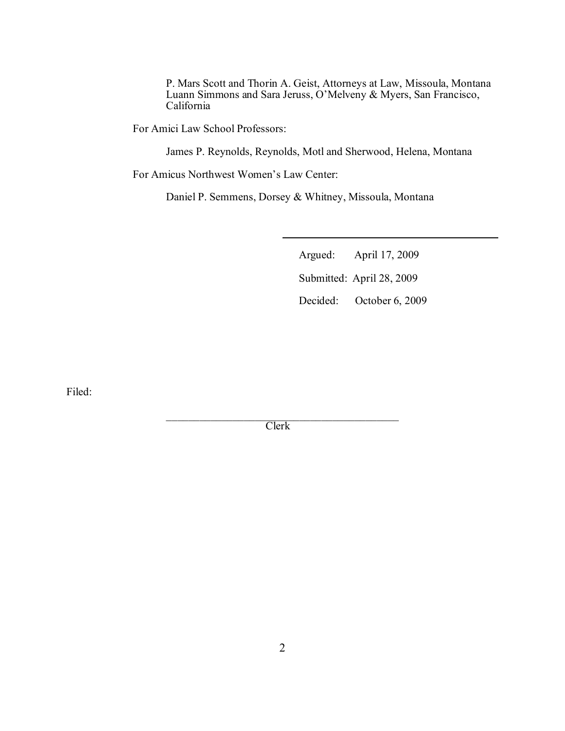P. Mars Scott and Thorin A. Geist, Attorneys at Law, Missoula, Montana Luann Simmons and Sara Jeruss, O'Melveny & Myers, San Francisco, California

For Amici Law School Professors:

James P. Reynolds, Reynolds, Motl and Sherwood, Helena, Montana

For Amicus Northwest Women's Law Center:

Daniel P. Semmens, Dorsey & Whitney, Missoula, Montana

Argued: April 17, 2009 Submitted: April 28, 2009 Decided: October 6, 2009

Filed:

 $\mathcal{L}_\mathcal{L}$  , where  $\mathcal{L}_\mathcal{L}$  is the set of the set of the set of the set of the set of the set of the set of the set of the set of the set of the set of the set of the set of the set of the set of the set of the Clerk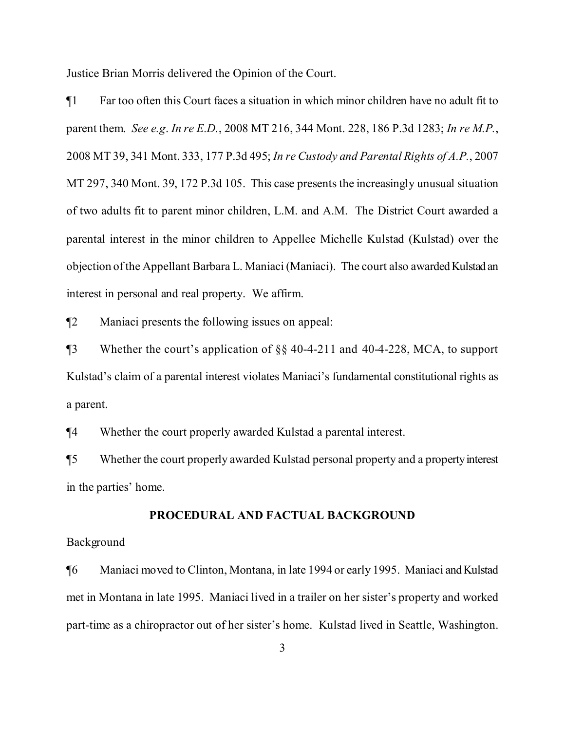Justice Brian Morris delivered the Opinion of the Court.

¶1 Far too often this Court faces a situation in which minor children have no adult fit to parent them. *See e.g*. *In re E.D.*, 2008 MT 216, 344 Mont. 228, 186 P.3d 1283; *In re M.P.*, 2008 MT 39, 341 Mont. 333, 177 P.3d 495; *In re Custody and Parental Rights of A.P.*, 2007 MT 297, 340 Mont. 39, 172 P.3d 105. This case presents the increasingly unusual situation of two adults fit to parent minor children, L.M. and A.M. The District Court awarded a parental interest in the minor children to Appellee Michelle Kulstad (Kulstad) over the objection of the Appellant Barbara L. Maniaci (Maniaci). The court also awarded Kulstad an interest in personal and real property. We affirm.

¶2 Maniaci presents the following issues on appeal:

¶3 Whether the court's application of §§ 40-4-211 and 40-4-228, MCA, to support Kulstad's claim of a parental interest violates Maniaci's fundamental constitutional rights as a parent.

¶4 Whether the court properly awarded Kulstad a parental interest.

¶5 Whether the court properly awarded Kulstad personal property and a propertyinterest in the parties' home.

# **PROCEDURAL AND FACTUAL BACKGROUND**

# Background

¶6 Maniaci moved to Clinton, Montana, in late 1994 or early 1995. Maniaci andKulstad met in Montana in late 1995. Maniaci lived in a trailer on her sister's property and worked part-time as a chiropractor out of her sister's home. Kulstad lived in Seattle, Washington.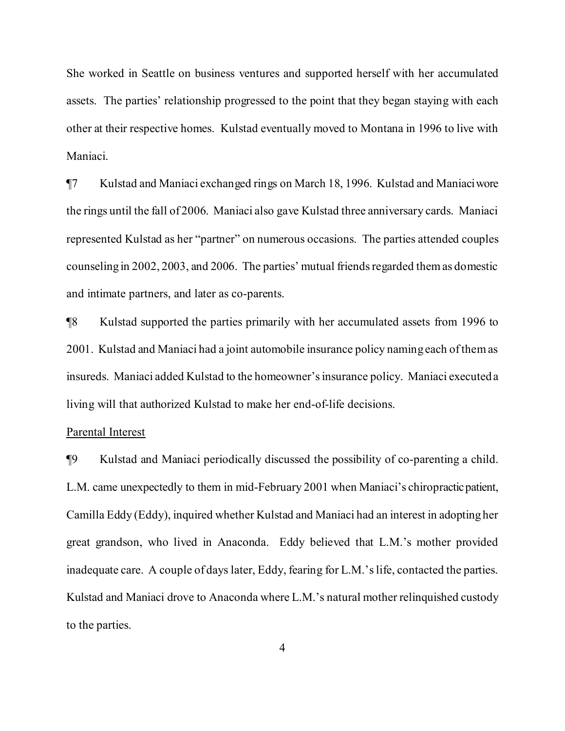She worked in Seattle on business ventures and supported herself with her accumulated assets. The parties' relationship progressed to the point that they began staying with each other at their respective homes. Kulstad eventually moved to Montana in 1996 to live with Maniaci.

¶7 Kulstad and Maniaci exchanged rings on March 18, 1996. Kulstad and Maniaciwore the rings until the fall of 2006. Maniaci also gave Kulstad three anniversary cards. Maniaci represented Kulstad as her "partner" on numerous occasions. The parties attended couples counseling in 2002, 2003, and 2006. The parties' mutual friends regarded them as domestic and intimate partners, and later as co-parents.

¶8 Kulstad supported the parties primarily with her accumulated assets from 1996 to 2001. Kulstad and Maniaci had a joint automobile insurance policy naming each ofthemas insureds. Maniaci added Kulstad to the homeowner'sinsurance policy. Maniaci executed a living will that authorized Kulstad to make her end-of-life decisions.

## Parental Interest

¶9 Kulstad and Maniaci periodically discussed the possibility of co-parenting a child. L.M. came unexpectedly to them in mid-February 2001 when Maniaci's chiropracticpatient, Camilla Eddy (Eddy), inquired whether Kulstad and Maniaci had an interest in adopting her great grandson, who lived in Anaconda. Eddy believed that L.M.'s mother provided inadequate care. A couple of days later, Eddy, fearing for L.M.'slife, contacted the parties. Kulstad and Maniaci drove to Anaconda where L.M.'s natural mother relinquished custody to the parties.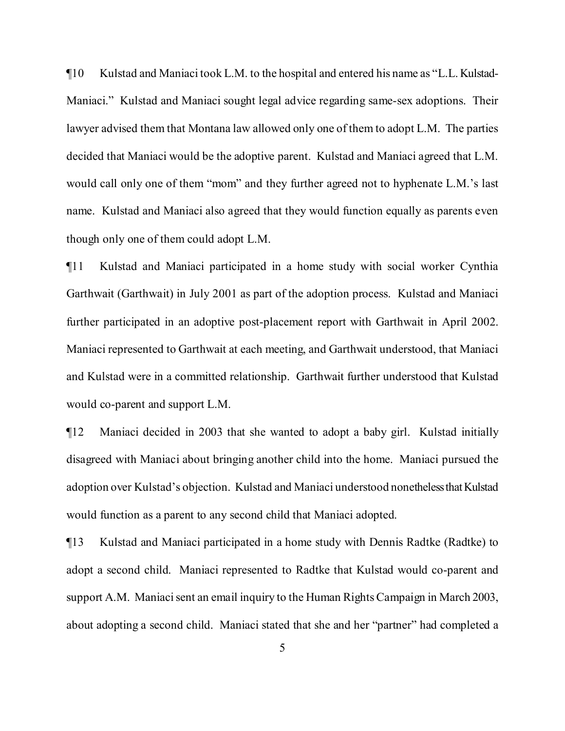¶10 Kulstad and Maniaci took L.M. to the hospital and entered his name as "L.L. Kulstad-Maniaci." Kulstad and Maniaci sought legal advice regarding same-sex adoptions. Their lawyer advised them that Montana law allowed only one of them to adopt L.M. The parties decided that Maniaci would be the adoptive parent. Kulstad and Maniaci agreed that L.M. would call only one of them "mom" and they further agreed not to hyphenate L.M.'s last name. Kulstad and Maniaci also agreed that they would function equally as parents even though only one of them could adopt L.M.

¶11 Kulstad and Maniaci participated in a home study with social worker Cynthia Garthwait (Garthwait) in July 2001 as part of the adoption process. Kulstad and Maniaci further participated in an adoptive post-placement report with Garthwait in April 2002. Maniaci represented to Garthwait at each meeting, and Garthwait understood, that Maniaci and Kulstad were in a committed relationship. Garthwait further understood that Kulstad would co-parent and support L.M.

¶12 Maniaci decided in 2003 that she wanted to adopt a baby girl. Kulstad initially disagreed with Maniaci about bringing another child into the home. Maniaci pursued the adoption over Kulstad's objection. Kulstad and Maniaci understood nonetheless that Kulstad would function as a parent to any second child that Maniaci adopted.

¶13 Kulstad and Maniaci participated in a home study with Dennis Radtke (Radtke) to adopt a second child. Maniaci represented to Radtke that Kulstad would co-parent and support A.M. Maniaci sent an email inquiry to the Human Rights Campaign in March 2003, about adopting a second child. Maniaci stated that she and her "partner" had completed a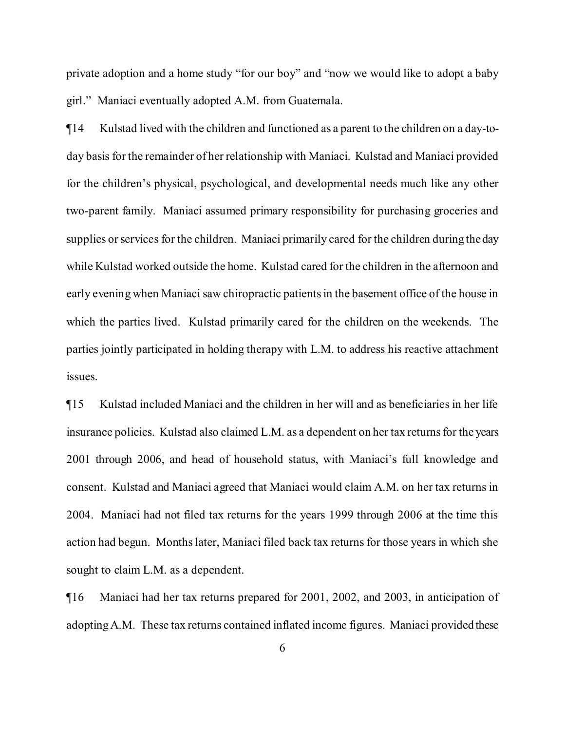private adoption and a home study "for our boy" and "now we would like to adopt a baby girl." Maniaci eventually adopted A.M. from Guatemala.

¶14 Kulstad lived with the children and functioned as a parent to the children on a day-today basis for the remainder of her relationship with Maniaci. Kulstad and Maniaci provided for the children's physical, psychological, and developmental needs much like any other two-parent family. Maniaci assumed primary responsibility for purchasing groceries and supplies or services for the children. Maniaci primarily cared for the children during the day while Kulstad worked outside the home. Kulstad cared for the children in the afternoon and early evening when Maniaci saw chiropractic patients in the basement office of the house in which the parties lived. Kulstad primarily cared for the children on the weekends. The parties jointly participated in holding therapy with L.M. to address his reactive attachment issues.

¶15 Kulstad included Maniaci and the children in her will and as beneficiaries in her life insurance policies. Kulstad also claimed L.M. as a dependent on her tax returns for the years 2001 through 2006, and head of household status, with Maniaci's full knowledge and consent. Kulstad and Maniaci agreed that Maniaci would claim A.M. on her tax returns in 2004. Maniaci had not filed tax returns for the years 1999 through 2006 at the time this action had begun. Monthslater, Maniaci filed back tax returns for those years in which she sought to claim L.M. as a dependent.

¶16 Maniaci had her tax returns prepared for 2001, 2002, and 2003, in anticipation of adoptingA.M. These tax returns contained inflated income figures. Maniaci provided these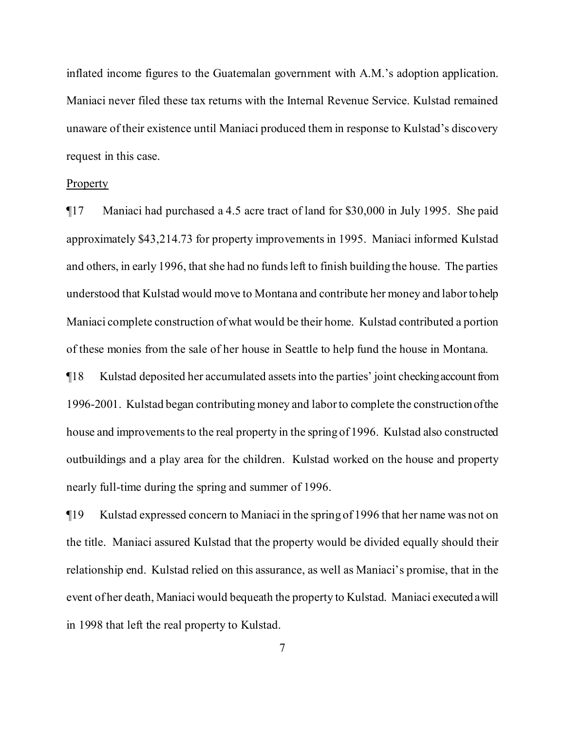inflated income figures to the Guatemalan government with A.M.'s adoption application. Maniaci never filed these tax returns with the Internal Revenue Service. Kulstad remained unaware of their existence until Maniaci produced them in response to Kulstad's discovery request in this case.

## Property

¶17 Maniaci had purchased a 4.5 acre tract of land for \$30,000 in July 1995. She paid approximately \$43,214.73 for property improvements in 1995. Maniaci informed Kulstad and others, in early 1996, that she had no funds left to finish building the house. The parties understood that Kulstad would move to Montana and contribute her money and labortohelp Maniaci complete construction of what would be their home. Kulstad contributed a portion of these monies from the sale of her house in Seattle to help fund the house in Montana.

¶18 Kulstad deposited her accumulated assetsinto the parties' joint checkingaccountfrom 1996-2001. Kulstad began contributing money and laborto complete the construction ofthe house and improvements to the real property in the spring of 1996. Kulstad also constructed outbuildings and a play area for the children. Kulstad worked on the house and property nearly full-time during the spring and summer of 1996.

¶19 Kulstad expressed concern to Maniaci in the spring of 1996 that her name was not on the title. Maniaci assured Kulstad that the property would be divided equally should their relationship end. Kulstad relied on this assurance, as well as Maniaci's promise, that in the event of her death, Maniaci would bequeath the property to Kulstad. Maniaci executed awill in 1998 that left the real property to Kulstad.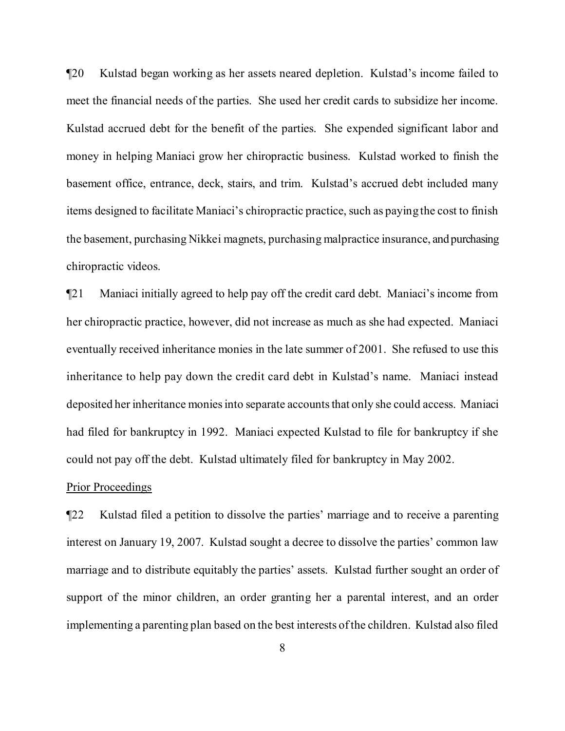¶20 Kulstad began working as her assets neared depletion. Kulstad's income failed to meet the financial needs of the parties. She used her credit cards to subsidize her income. Kulstad accrued debt for the benefit of the parties. She expended significant labor and money in helping Maniaci grow her chiropractic business. Kulstad worked to finish the basement office, entrance, deck, stairs, and trim. Kulstad's accrued debt included many items designed to facilitate Maniaci's chiropractic practice, such as paying the cost to finish the basement, purchasing Nikkei magnets, purchasing malpractice insurance, and purchasing chiropractic videos.

¶21 Maniaci initially agreed to help pay off the credit card debt. Maniaci's income from her chiropractic practice, however, did not increase as much as she had expected. Maniaci eventually received inheritance monies in the late summer of 2001. She refused to use this inheritance to help pay down the credit card debt in Kulstad's name. Maniaci instead deposited her inheritance monies into separate accounts that only she could access. Maniaci had filed for bankruptcy in 1992. Maniaci expected Kulstad to file for bankruptcy if she could not pay off the debt. Kulstad ultimately filed for bankruptcy in May 2002.

## Prior Proceedings

¶22 Kulstad filed a petition to dissolve the parties' marriage and to receive a parenting interest on January 19, 2007. Kulstad sought a decree to dissolve the parties' common law marriage and to distribute equitably the parties' assets. Kulstad further sought an order of support of the minor children, an order granting her a parental interest, and an order implementing a parenting plan based on the best interests ofthe children. Kulstad also filed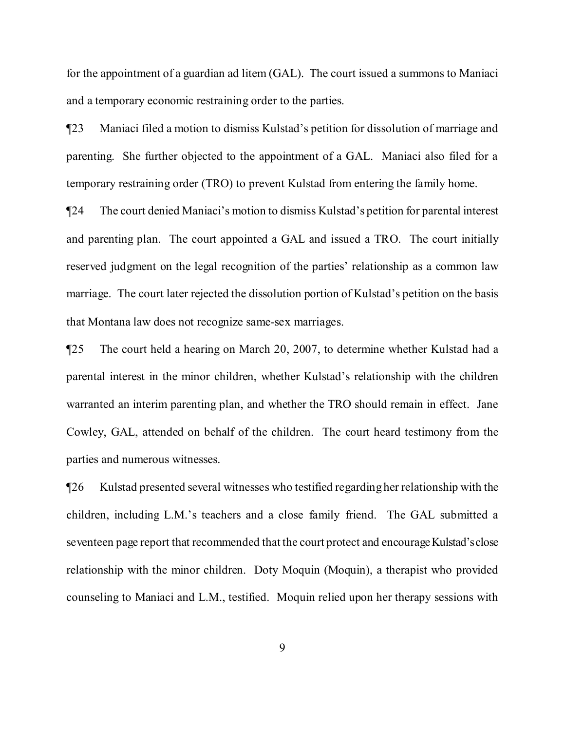for the appointment of a guardian ad litem (GAL). The court issued a summons to Maniaci and a temporary economic restraining order to the parties.

¶23 Maniaci filed a motion to dismiss Kulstad's petition for dissolution of marriage and parenting. She further objected to the appointment of a GAL. Maniaci also filed for a temporary restraining order (TRO) to prevent Kulstad from entering the family home.

¶24 The court denied Maniaci's motion to dismiss Kulstad's petition for parental interest and parenting plan. The court appointed a GAL and issued a TRO. The court initially reserved judgment on the legal recognition of the parties' relationship as a common law marriage. The court later rejected the dissolution portion of Kulstad's petition on the basis that Montana law does not recognize same-sex marriages.

¶25 The court held a hearing on March 20, 2007, to determine whether Kulstad had a parental interest in the minor children, whether Kulstad's relationship with the children warranted an interim parenting plan, and whether the TRO should remain in effect. Jane Cowley, GAL, attended on behalf of the children. The court heard testimony from the parties and numerous witnesses.

¶26 Kulstad presented several witnesses who testified regarding her relationship with the children, including L.M.'s teachers and a close family friend. The GAL submitted a seventeen page report that recommended that the court protect and encourage Kulstad's close relationship with the minor children. Doty Moquin (Moquin), a therapist who provided counseling to Maniaci and L.M., testified. Moquin relied upon her therapy sessions with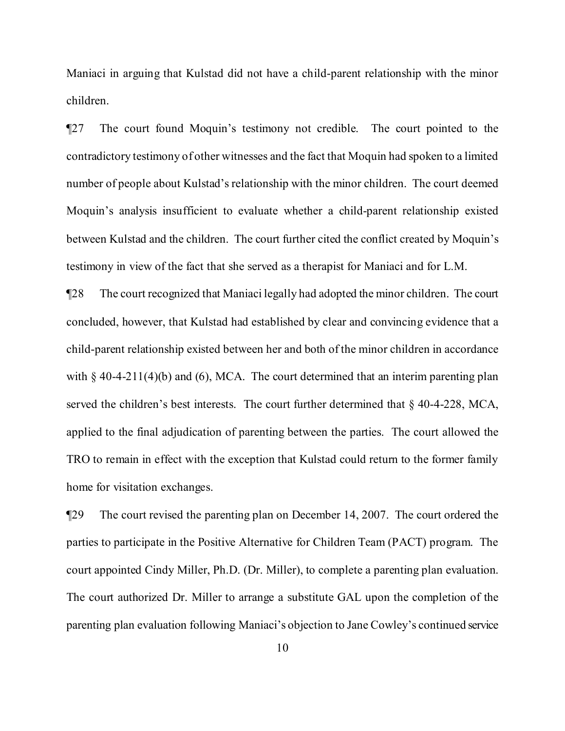Maniaci in arguing that Kulstad did not have a child-parent relationship with the minor children.

¶27 The court found Moquin's testimony not credible. The court pointed to the contradictory testimony of other witnesses and the fact that Moquin had spoken to a limited number of people about Kulstad's relationship with the minor children. The court deemed Moquin's analysis insufficient to evaluate whether a child-parent relationship existed between Kulstad and the children. The court further cited the conflict created by Moquin's testimony in view of the fact that she served as a therapist for Maniaci and for L.M.

¶28 The court recognized that Maniaci legally had adopted the minor children. The court concluded, however, that Kulstad had established by clear and convincing evidence that a child-parent relationship existed between her and both of the minor children in accordance with  $\S$  40-4-211(4)(b) and (6), MCA. The court determined that an interim parenting plan served the children's best interests. The court further determined that § 40-4-228, MCA, applied to the final adjudication of parenting between the parties. The court allowed the TRO to remain in effect with the exception that Kulstad could return to the former family home for visitation exchanges.

¶29 The court revised the parenting plan on December 14, 2007. The court ordered the parties to participate in the Positive Alternative for Children Team (PACT) program. The court appointed Cindy Miller, Ph.D. (Dr. Miller), to complete a parenting plan evaluation. The court authorized Dr. Miller to arrange a substitute GAL upon the completion of the parenting plan evaluation following Maniaci's objection to Jane Cowley's continued service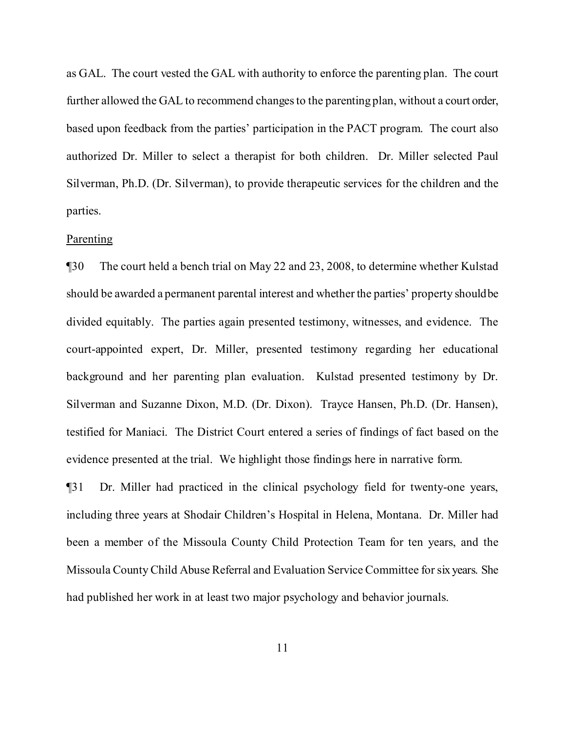as GAL. The court vested the GAL with authority to enforce the parenting plan. The court further allowed the GAL to recommend changes to the parenting plan, without a court order, based upon feedback from the parties' participation in the PACT program. The court also authorized Dr. Miller to select a therapist for both children. Dr. Miller selected Paul Silverman, Ph.D. (Dr. Silverman), to provide therapeutic services for the children and the parties.

## Parenting

¶30 The court held a bench trial on May 22 and 23, 2008, to determine whether Kulstad should be awarded a permanent parental interest and whether the parties' property shouldbe divided equitably. The parties again presented testimony, witnesses, and evidence. The court-appointed expert, Dr. Miller, presented testimony regarding her educational background and her parenting plan evaluation. Kulstad presented testimony by Dr. Silverman and Suzanne Dixon, M.D. (Dr. Dixon). Trayce Hansen, Ph.D. (Dr. Hansen), testified for Maniaci. The District Court entered a series of findings of fact based on the evidence presented at the trial. We highlight those findings here in narrative form.

¶31 Dr. Miller had practiced in the clinical psychology field for twenty-one years, including three years at Shodair Children's Hospital in Helena, Montana. Dr. Miller had been a member of the Missoula County Child Protection Team for ten years, and the Missoula CountyChild Abuse Referral and Evaluation Service Committee forsix years. She had published her work in at least two major psychology and behavior journals.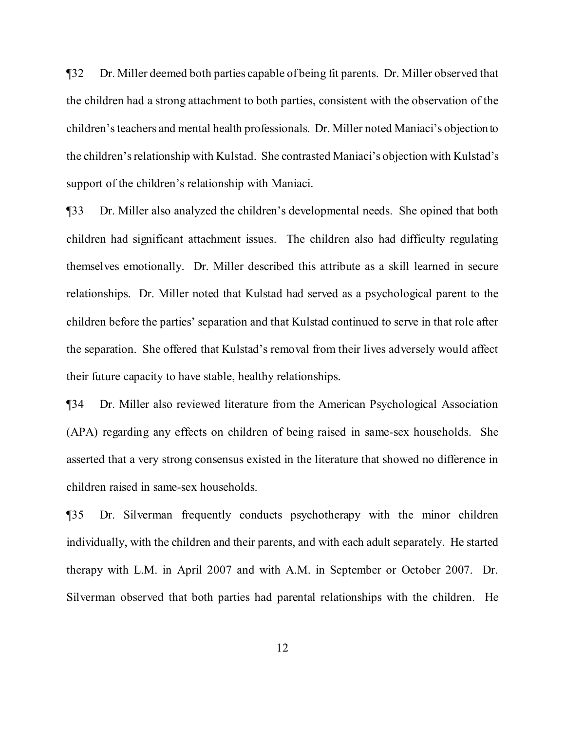¶32 Dr. Miller deemed both parties capable of being fit parents. Dr. Miller observed that the children had a strong attachment to both parties, consistent with the observation of the children'steachers and mental health professionals. Dr. Miller noted Maniaci's objection to the children'srelationship with Kulstad. She contrasted Maniaci's objection with Kulstad's support of the children's relationship with Maniaci.

¶33 Dr. Miller also analyzed the children's developmental needs. She opined that both children had significant attachment issues. The children also had difficulty regulating themselves emotionally. Dr. Miller described this attribute as a skill learned in secure relationships. Dr. Miller noted that Kulstad had served as a psychological parent to the children before the parties' separation and that Kulstad continued to serve in that role after the separation. She offered that Kulstad's removal from their lives adversely would affect their future capacity to have stable, healthy relationships.

¶34 Dr. Miller also reviewed literature from the American Psychological Association (APA) regarding any effects on children of being raised in same-sex households. She asserted that a very strong consensus existed in the literature that showed no difference in children raised in same-sex households.

¶35 Dr. Silverman frequently conducts psychotherapy with the minor children individually, with the children and their parents, and with each adult separately. He started therapy with L.M. in April 2007 and with A.M. in September or October 2007. Dr. Silverman observed that both parties had parental relationships with the children. He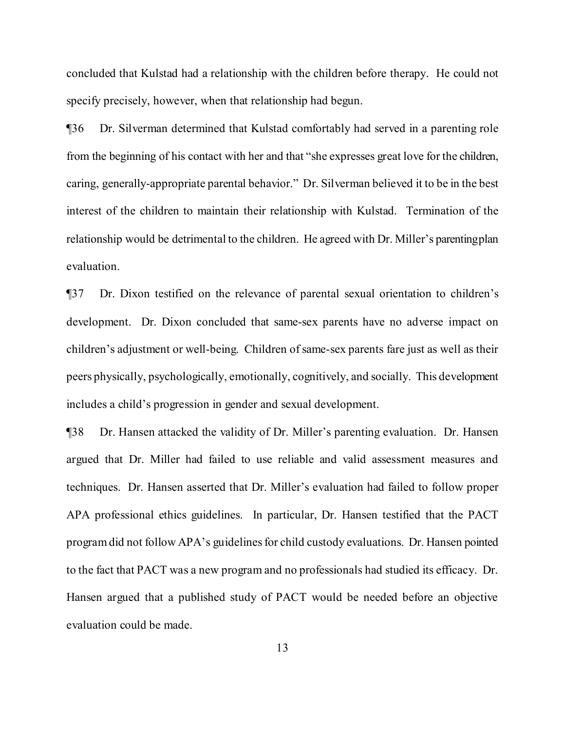concluded that Kulstad had a relationship with the children before therapy. He could not specify precisely, however, when that relationship had begun.

¶36 Dr. Silverman determined that Kulstad comfortably had served in a parenting role from the beginning of his contact with her and that "she expresses great love for the children, caring, generally-appropriate parental behavior." Dr. Silverman believed it to be in the best interest of the children to maintain their relationship with Kulstad. Termination of the relationship would be detrimental to the children. He agreed with Dr. Miller's parentingplan evaluation.

¶37 Dr. Dixon testified on the relevance of parental sexual orientation to children's development. Dr. Dixon concluded that same-sex parents have no adverse impact on children's adjustment or well-being. Children ofsame-sex parents fare just as well as their peers physically, psychologically, emotionally, cognitively, and socially. This development includes a child's progression in gender and sexual development.

¶38 Dr. Hansen attacked the validity of Dr. Miller's parenting evaluation. Dr. Hansen argued that Dr. Miller had failed to use reliable and valid assessment measures and techniques. Dr. Hansen asserted that Dr. Miller's evaluation had failed to follow proper APA professional ethics guidelines. In particular, Dr. Hansen testified that the PACT program did not follow APA's guidelines for child custody evaluations. Dr. Hansen pointed to the fact that PACT was a new program and no professionals had studied its efficacy. Dr. Hansen argued that a published study of PACT would be needed before an objective evaluation could be made.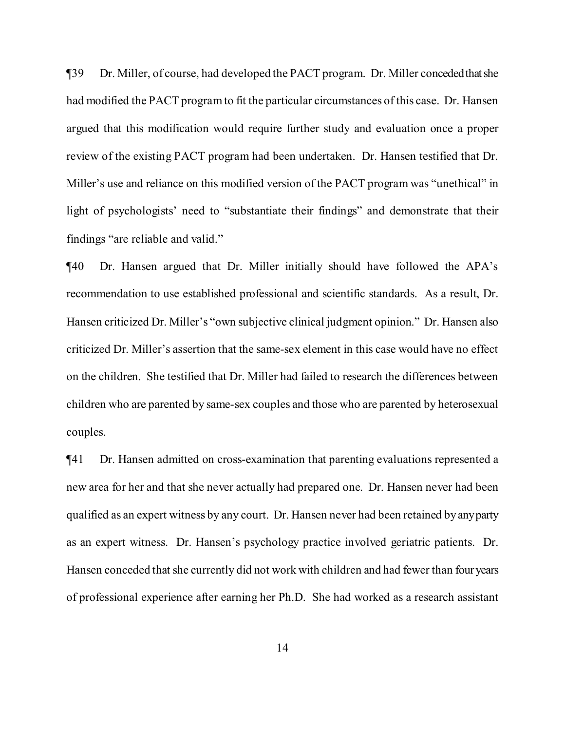¶39 Dr. Miller, of course, had developed the PACT program. Dr. Miller concededthatshe had modified the PACT programto fit the particular circumstances of this case. Dr. Hansen argued that this modification would require further study and evaluation once a proper review of the existing PACT program had been undertaken. Dr. Hansen testified that Dr. Miller's use and reliance on this modified version of the PACT program was "unethical" in light of psychologists' need to "substantiate their findings" and demonstrate that their findings "are reliable and valid."

¶40 Dr. Hansen argued that Dr. Miller initially should have followed the APA's recommendation to use established professional and scientific standards. As a result, Dr. Hansen criticized Dr. Miller's "own subjective clinical judgment opinion." Dr. Hansen also criticized Dr. Miller's assertion that the same-sex element in this case would have no effect on the children. She testified that Dr. Miller had failed to research the differences between children who are parented by same-sex couples and those who are parented by heterosexual couples.

¶41 Dr. Hansen admitted on cross-examination that parenting evaluations represented a new area for her and that she never actually had prepared one. Dr. Hansen never had been qualified as an expert witness by any court. Dr. Hansen never had been retained by anyparty as an expert witness. Dr. Hansen's psychology practice involved geriatric patients. Dr. Hansen conceded that she currently did not work with children and had fewer than fouryears of professional experience after earning her Ph.D. She had worked as a research assistant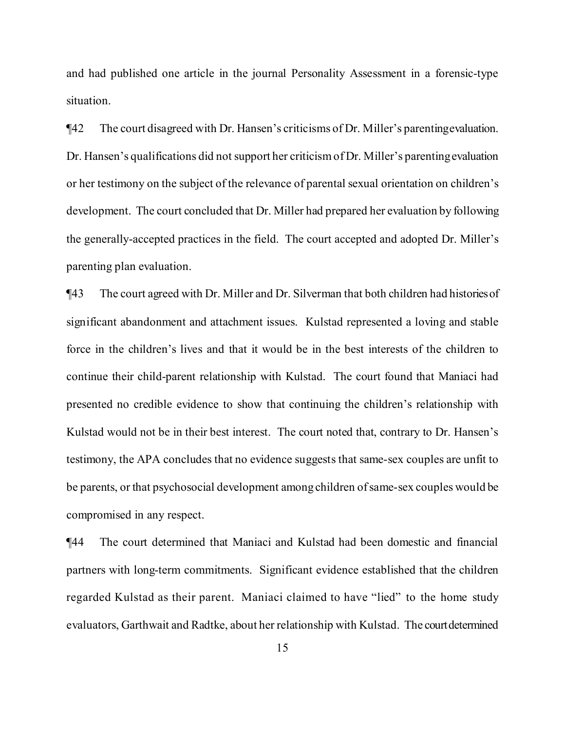and had published one article in the journal Personality Assessment in a forensic-type situation.

¶42 The court disagreed with Dr. Hansen's criticisms of Dr. Miller's parentingevaluation. Dr. Hansen's qualifications did not support her criticismof Dr. Miller's parentingevaluation or her testimony on the subject of the relevance of parental sexual orientation on children's development. The court concluded that Dr. Miller had prepared her evaluation by following the generally-accepted practices in the field. The court accepted and adopted Dr. Miller's parenting plan evaluation.

¶43 The court agreed with Dr. Miller and Dr. Silverman that both children had historiesof significant abandonment and attachment issues. Kulstad represented a loving and stable force in the children's lives and that it would be in the best interests of the children to continue their child-parent relationship with Kulstad. The court found that Maniaci had presented no credible evidence to show that continuing the children's relationship with Kulstad would not be in their best interest. The court noted that, contrary to Dr. Hansen's testimony, the APA concludes that no evidence suggests that same-sex couples are unfit to be parents, or that psychosocial development among children of same-sex couples would be compromised in any respect.

¶44 The court determined that Maniaci and Kulstad had been domestic and financial partners with long-term commitments. Significant evidence established that the children regarded Kulstad as their parent. Maniaci claimed to have "lied" to the home study evaluators, Garthwait and Radtke, about her relationship with Kulstad. The courtdetermined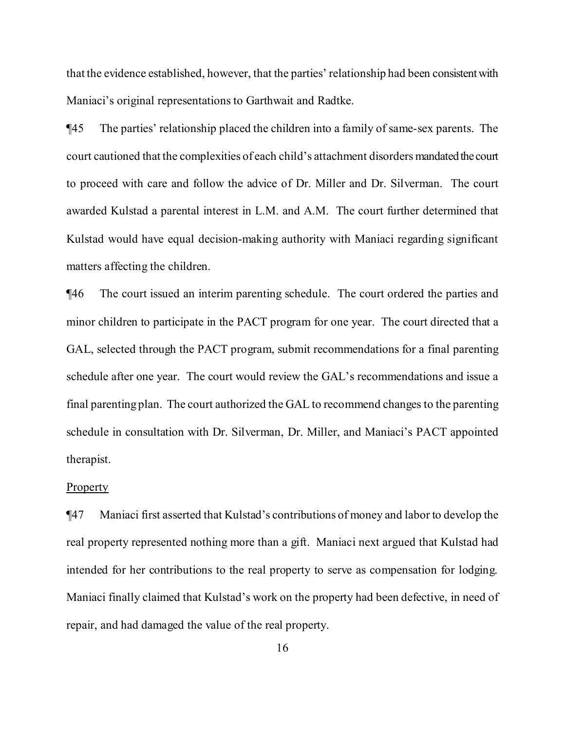that the evidence established, however, that the parties' relationship had been consistentwith Maniaci's original representations to Garthwait and Radtke.

¶45 The parties' relationship placed the children into a family of same-sex parents. The court cautioned that the complexities of each child's attachment disorders mandated the court to proceed with care and follow the advice of Dr. Miller and Dr. Silverman. The court awarded Kulstad a parental interest in L.M. and A.M. The court further determined that Kulstad would have equal decision-making authority with Maniaci regarding significant matters affecting the children.

¶46 The court issued an interim parenting schedule. The court ordered the parties and minor children to participate in the PACT program for one year. The court directed that a GAL, selected through the PACT program, submit recommendations for a final parenting schedule after one year. The court would review the GAL's recommendations and issue a final parenting plan. The court authorized the GAL to recommend changes to the parenting schedule in consultation with Dr. Silverman, Dr. Miller, and Maniaci's PACT appointed therapist.

#### **Property**

¶47 Maniaci first asserted that Kulstad's contributions of money and labor to develop the real property represented nothing more than a gift. Maniaci next argued that Kulstad had intended for her contributions to the real property to serve as compensation for lodging. Maniaci finally claimed that Kulstad's work on the property had been defective, in need of repair, and had damaged the value of the real property.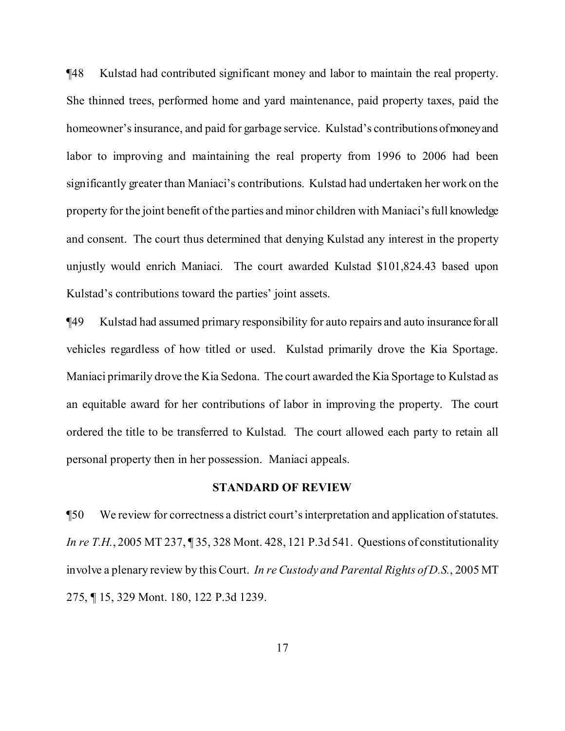¶48 Kulstad had contributed significant money and labor to maintain the real property. She thinned trees, performed home and yard maintenance, paid property taxes, paid the homeowner's insurance, and paid for garbage service. Kulstad's contributions of money and labor to improving and maintaining the real property from 1996 to 2006 had been significantly greater than Maniaci's contributions. Kulstad had undertaken her work on the property for the joint benefit of the parties and minor children with Maniaci's full knowledge and consent. The court thus determined that denying Kulstad any interest in the property unjustly would enrich Maniaci. The court awarded Kulstad \$101,824.43 based upon Kulstad's contributions toward the parties' joint assets.

¶49 Kulstad had assumed primary responsibility for auto repairs and auto insurance for all vehicles regardless of how titled or used. Kulstad primarily drove the Kia Sportage. Maniaci primarily drove the Kia Sedona. The court awarded the Kia Sportage to Kulstad as an equitable award for her contributions of labor in improving the property. The court ordered the title to be transferred to Kulstad. The court allowed each party to retain all personal property then in her possession. Maniaci appeals.

# **STANDARD OF REVIEW**

¶50 We review for correctness a district court'sinterpretation and application ofstatutes. *In re T.H.*, 2005 MT 237, ¶ 35, 328 Mont. 428, 121 P.3d 541. Questions of constitutionality involve a plenary review by thisCourt. *In re Custody and Parental Rights of D.S.*, 2005 MT 275, ¶ 15, 329 Mont. 180, 122 P.3d 1239.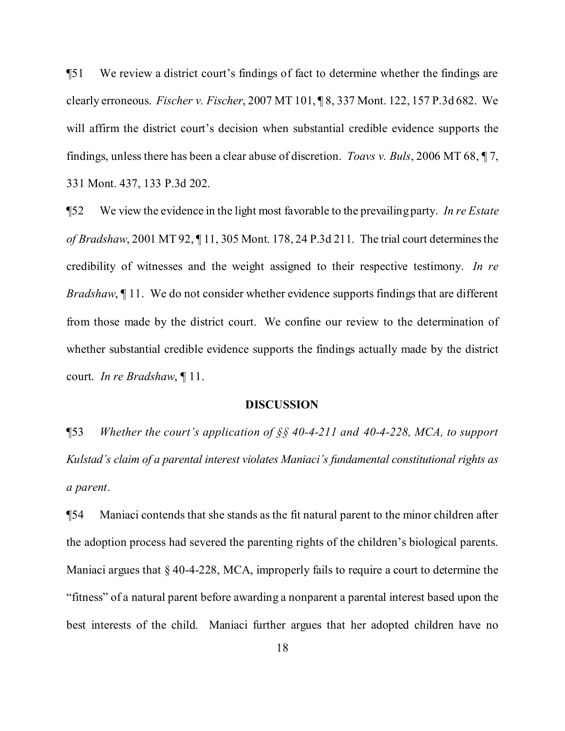¶51 We review a district court's findings of fact to determine whether the findings are clearly erroneous. *Fischer v. Fischer*, 2007 MT 101, ¶ 8, 337 Mont. 122, 157 P.3d 682. We will affirm the district court's decision when substantial credible evidence supports the findings, unless there has been a clear abuse of discretion. *Toavs v. Buls*, 2006 MT 68, ¶ 7, 331 Mont. 437, 133 P.3d 202.

¶52 We view the evidence in the light most favorable to the prevailing party. *In re Estate of Bradshaw*, 2001 MT 92, 11, 305 Mont. 178, 24 P.3d 211. The trial court determines the credibility of witnesses and the weight assigned to their respective testimony. *In re Bradshaw*,  $\P$  11. We do not consider whether evidence supports findings that are different from those made by the district court. We confine our review to the determination of whether substantial credible evidence supports the findings actually made by the district court. *In re Bradshaw*, ¶ 11.

## **DISCUSSION**

¶53 *Whether the court's application of §§ 40-4-211 and 40-4-228, MCA, to support Kulstad's claim of a parental interest violates Maniaci's fundamental constitutional rights as a parent*.

¶54 Maniaci contends that she stands as the fit natural parent to the minor children after the adoption process had severed the parenting rights of the children's biological parents. Maniaci argues that  $\S$  40-4-228, MCA, improperly fails to require a court to determine the "fitness" of a natural parent before awarding a nonparent a parental interest based upon the best interests of the child. Maniaci further argues that her adopted children have no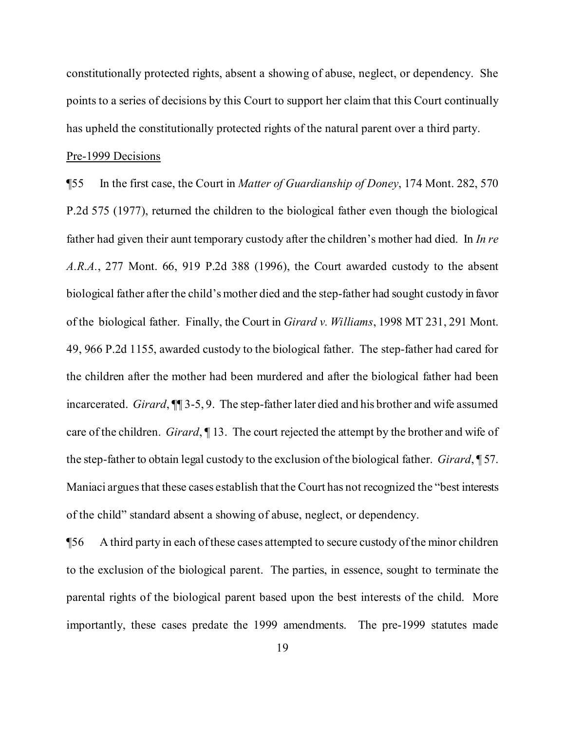constitutionally protected rights, absent a showing of abuse, neglect, or dependency. She points to a series of decisions by this Court to support her claim that this Court continually has upheld the constitutionally protected rights of the natural parent over a third party.

#### Pre-1999 Decisions

¶55 In the first case, the Court in *Matter of Guardianship of Doney*, 174 Mont. 282, 570 P.2d 575 (1977), returned the children to the biological father even though the biological father had given their aunt temporary custody after the children's mother had died. In *In re A.R.A.*, 277 Mont. 66, 919 P.2d 388 (1996), the Court awarded custody to the absent biological father after the child's mother died and the step-father had sought custody in favor of the biological father. Finally, the Court in *Girard v. Williams*, 1998 MT 231, 291 Mont. 49, 966 P.2d 1155, awarded custody to the biological father. The step-father had cared for the children after the mother had been murdered and after the biological father had been incarcerated. *Girard*, ¶¶ 3-5, 9. The step-father later died and his brother and wife assumed care of the children. *Girard*, ¶ 13. The court rejected the attempt by the brother and wife of the step-father to obtain legal custody to the exclusion ofthe biological father. *Girard*, ¶ 57. Maniaci argues that these cases establish that the Court has not recognized the "best interests" of the child" standard absent a showing of abuse, neglect, or dependency.

¶56 A third party in each ofthese cases attempted to secure custody ofthe minor children to the exclusion of the biological parent. The parties, in essence, sought to terminate the parental rights of the biological parent based upon the best interests of the child. More importantly, these cases predate the 1999 amendments. The pre-1999 statutes made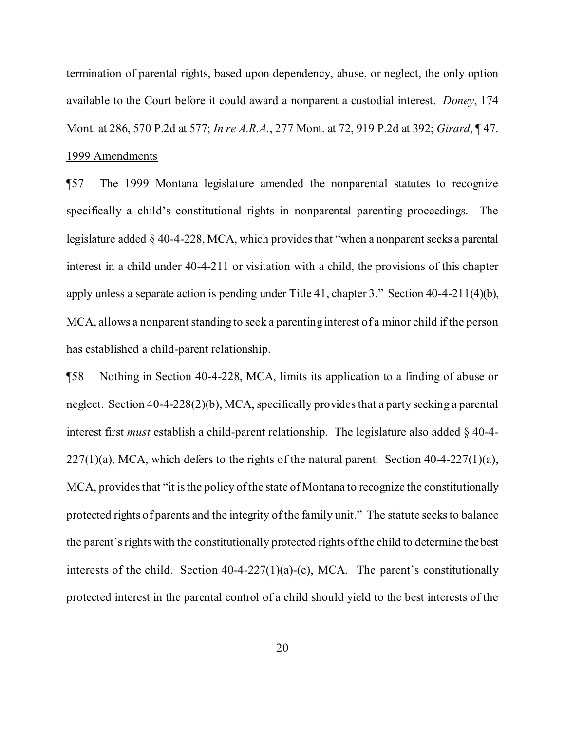termination of parental rights, based upon dependency, abuse, or neglect, the only option available to the Court before it could award a nonparent a custodial interest. *Doney*, 174 Mont. at 286, 570 P.2d at 577; *In re A.R.A.*, 277 Mont. at 72, 919 P.2d at 392; *Girard*, ¶ 47. 1999 Amendments

¶57 The 1999 Montana legislature amended the nonparental statutes to recognize specifically a child's constitutional rights in nonparental parenting proceedings. The legislature added § 40-4-228, MCA, which provides that "when a nonparent seeks a parental interest in a child under 40-4-211 or visitation with a child, the provisions of this chapter apply unless a separate action is pending under Title 41, chapter 3." Section 40-4-211(4)(b), MCA, allows a nonparent standing to seek a parenting interest of a minor child if the person has established a child-parent relationship.

¶58 Nothing in Section 40-4-228, MCA, limits its application to a finding of abuse or neglect. Section 40-4-228(2)(b), MCA, specifically provides that a party seeking a parental interest first *must* establish a child-parent relationship. The legislature also added § 40-4-  $227(1)(a)$ , MCA, which defers to the rights of the natural parent. Section 40-4-227(1)(a), MCA, provides that "it is the policy of the state of Montana to recognize the constitutionally protected rights of parents and the integrity of the family unit." The statute seeks to balance the parent's rights with the constitutionally protected rights of the child to determine the best interests of the child. Section 40-4-227(1)(a)-(c), MCA. The parent's constitutionally protected interest in the parental control of a child should yield to the best interests of the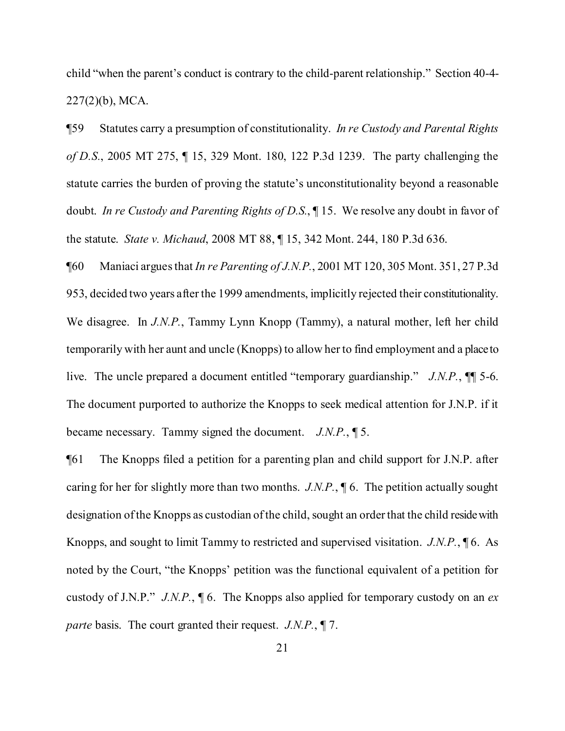child "when the parent's conduct is contrary to the child-parent relationship." Section 40-4- 227(2)(b), MCA.

¶59 Statutes carry a presumption of constitutionality. *In re Custody and Parental Rights of D.S.*, 2005 MT 275, ¶ 15, 329 Mont. 180, 122 P.3d 1239. The party challenging the statute carries the burden of proving the statute's unconstitutionality beyond a reasonable doubt. *In re Custody and Parenting Rights of D.S.*, ¶ 15. We resolve any doubt in favor of the statute. *State v. Michaud*, 2008 MT 88, ¶ 15, 342 Mont. 244, 180 P.3d 636.

¶60 Maniaci arguesthat *In re Parenting of J.N.P.*, 2001 MT 120, 305 Mont. 351, 27 P.3d 953, decided two years after the 1999 amendments, implicitly rejected their constitutionality. We disagree. In *J.N.P.*, Tammy Lynn Knopp (Tammy), a natural mother, left her child temporarily with her aunt and uncle (Knopps) to allow her to find employment and a place to live. The uncle prepared a document entitled "temporary guardianship." *J.N.P.*, ¶¶ 5-6. The document purported to authorize the Knopps to seek medical attention for J.N.P. if it became necessary. Tammy signed the document. *J.N.P.*, ¶ 5.

¶61 The Knopps filed a petition for a parenting plan and child support for J.N.P. after caring for her for slightly more than two months. *J.N.P.*, ¶ 6. The petition actually sought designation of the Knopps as custodian of the child, sought an order that the child reside with Knopps, and sought to limit Tammy to restricted and supervised visitation. *J.N.P.*, ¶ 6. As noted by the Court, "the Knopps' petition was the functional equivalent of a petition for custody of J.N.P." *J.N.P.*, ¶ 6. The Knopps also applied for temporary custody on an *ex parte* basis. The court granted their request. *J.N.P.*, ¶ 7.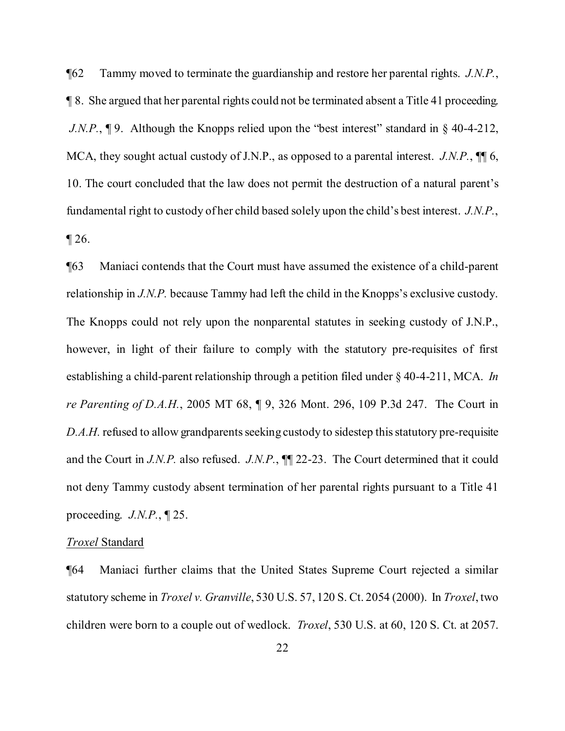¶62 Tammy moved to terminate the guardianship and restore her parental rights. *J.N.P.*, ¶ 8. She argued that her parental rights could not be terminated absent a Title 41 proceeding. *J.N.P.*, **[9.** Although the Knopps relied upon the "best interest" standard in § 40-4-212, MCA, they sought actual custody of J.N.P., as opposed to a parental interest. *J.N.P.*, ¶¶ 6, 10. The court concluded that the law does not permit the destruction of a natural parent's fundamental right to custody of her child based solely upon the child's best interest. *J.N.P.*,  $\P$  26.

¶63 Maniaci contends that the Court must have assumed the existence of a child-parent relationship in *J.N.P.* because Tammy had left the child in the Knopps's exclusive custody. The Knopps could not rely upon the nonparental statutes in seeking custody of J.N.P., however, in light of their failure to comply with the statutory pre-requisites of first establishing a child-parent relationship through a petition filed under § 40-4-211, MCA. *In re Parenting of D.A.H.*, 2005 MT 68, ¶ 9, 326 Mont. 296, 109 P.3d 247. The Court in *D.A.H.* refused to allow grandparents seeking custody to sidestep this statutory pre-requisite and the Court in *J.N.P.* also refused. *J.N.P.*, ¶¶ 22-23. The Court determined that it could not deny Tammy custody absent termination of her parental rights pursuant to a Title 41 proceeding. *J.N.P.*, ¶ 25.

## *Troxel* Standard

¶64 Maniaci further claims that the United States Supreme Court rejected a similar statutory scheme in *Troxel v. Granville*, 530 U.S. 57, 120 S. Ct. 2054 (2000). In *Troxel*, two children were born to a couple out of wedlock. *Troxel*, 530 U.S. at 60, 120 S. Ct. at 2057.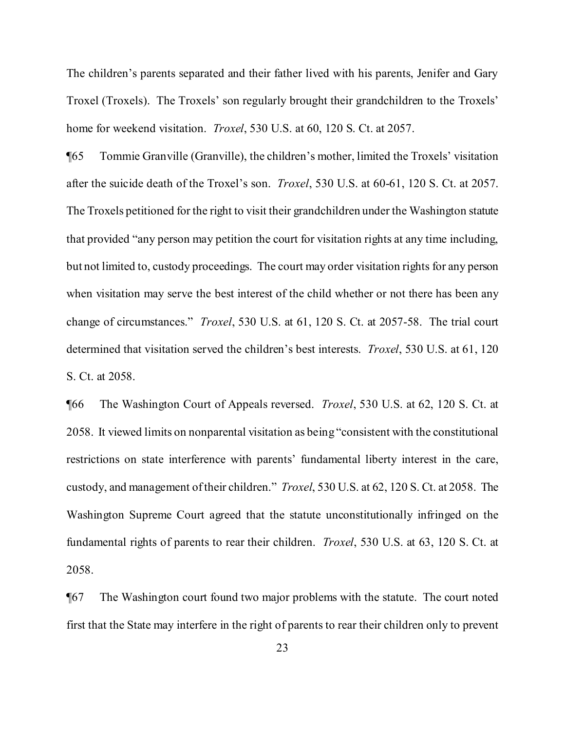The children's parents separated and their father lived with his parents, Jenifer and Gary Troxel (Troxels). The Troxels' son regularly brought their grandchildren to the Troxels' home for weekend visitation. *Troxel*, 530 U.S. at 60, 120 S. Ct. at 2057.

¶65 Tommie Granville (Granville), the children's mother, limited the Troxels' visitation after the suicide death of the Troxel's son. *Troxel*, 530 U.S. at 60-61, 120 S. Ct. at 2057. The Troxels petitioned for the right to visit their grandchildren under the Washington statute that provided "any person may petition the court for visitation rights at any time including, but not limited to, custody proceedings. The court may order visitation rights for any person when visitation may serve the best interest of the child whether or not there has been any change of circumstances." *Troxel*, 530 U.S. at 61, 120 S. Ct. at 2057-58. The trial court determined that visitation served the children's best interests. *Troxel*, 530 U.S. at 61, 120 S. Ct. at 2058.

¶66 The Washington Court of Appeals reversed. *Troxel*, 530 U.S. at 62, 120 S. Ct. at 2058. It viewed limits on nonparental visitation as being "consistent with the constitutional restrictions on state interference with parents' fundamental liberty interest in the care, custody, and management oftheir children." *Troxel*, 530 U.S. at 62, 120 S. Ct. at 2058. The Washington Supreme Court agreed that the statute unconstitutionally infringed on the fundamental rights of parents to rear their children. *Troxel*, 530 U.S. at 63, 120 S. Ct. at 2058.

¶67 The Washington court found two major problems with the statute. The court noted first that the State may interfere in the right of parents to rear their children only to prevent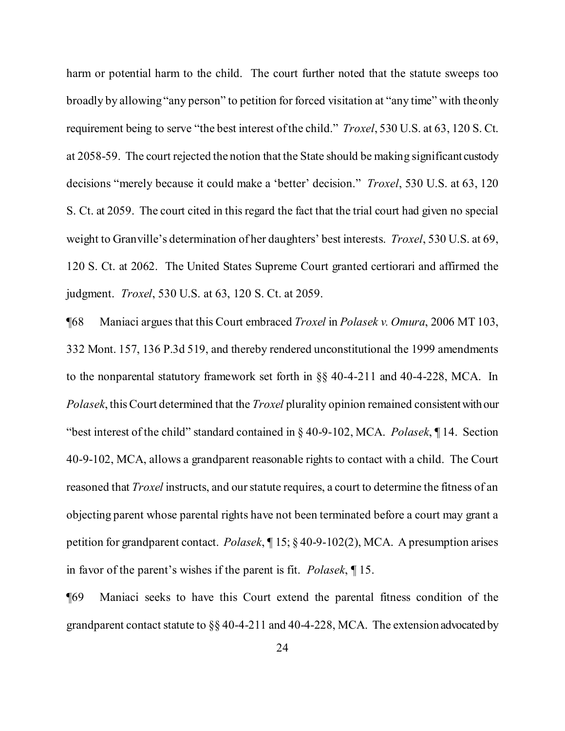harm or potential harm to the child. The court further noted that the statute sweeps too broadly by allowing "any person" to petition for forced visitation at "any time" with theonly requirement being to serve "the best interest ofthe child." *Troxel*, 530 U.S. at 63, 120 S. Ct. at 2058-59. The court rejected the notion that the State should be making significant custody decisions "merely because it could make a 'better' decision." *Troxel*, 530 U.S. at 63, 120 S. Ct. at 2059. The court cited in this regard the fact that the trial court had given no special weight to Granville's determination of her daughters' best interests. *Troxel*, 530 U.S. at 69, 120 S. Ct. at 2062. The United States Supreme Court granted certiorari and affirmed the judgment. *Troxel*, 530 U.S. at 63, 120 S. Ct. at 2059.

¶68 Maniaci argues that this Court embraced *Troxel* in *Polasek v. Omura*, 2006 MT 103, 332 Mont. 157, 136 P.3d 519, and thereby rendered unconstitutional the 1999 amendments to the nonparental statutory framework set forth in §§ 40-4-211 and 40-4-228, MCA. In *Polasek*, thisCourt determined that the *Troxel* plurality opinion remained consistentwith our "best interest of the child" standard contained in § 40-9-102, MCA. *Polasek*, ¶ 14. Section 40-9-102, MCA, allows a grandparent reasonable rights to contact with a child. The Court reasoned that *Troxel* instructs, and our statute requires, a court to determine the fitness of an objecting parent whose parental rights have not been terminated before a court may grant a petition for grandparent contact. *Polasek*, ¶ 15; § 40-9-102(2), MCA. A presumption arises in favor of the parent's wishes if the parent is fit. *Polasek*, ¶ 15.

¶69 Maniaci seeks to have this Court extend the parental fitness condition of the grandparent contact statute to §§ 40-4-211 and 40-4-228, MCA. The extension advocated by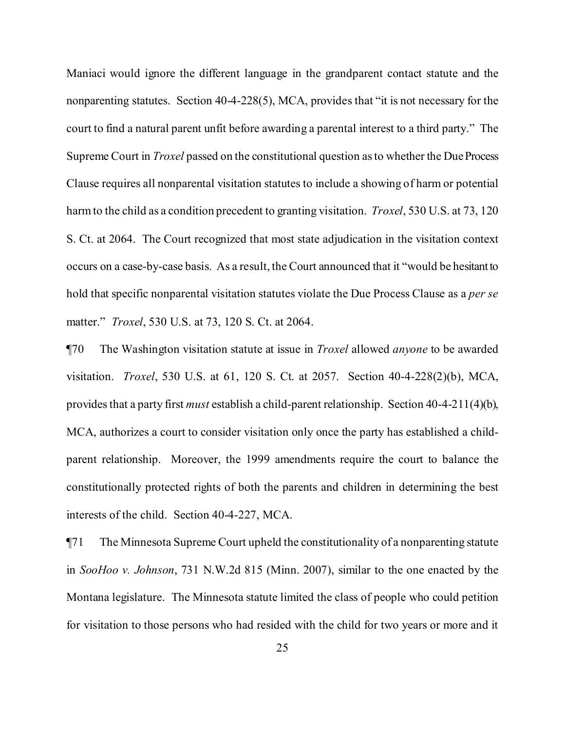Maniaci would ignore the different language in the grandparent contact statute and the nonparenting statutes. Section 40-4-228(5), MCA, provides that "it is not necessary for the court to find a natural parent unfit before awarding a parental interest to a third party." The Supreme Court in *Troxel* passed on the constitutional question as to whether the Due Process Clause requires all nonparental visitation statutes to include a showing of harm or potential harmto the child as a condition precedent to granting visitation. *Troxel*, 530 U.S. at 73, 120 S. Ct. at 2064. The Court recognized that most state adjudication in the visitation context occurs on a case-by-case basis. As a result, the Court announced that it "would be hesitant to hold that specific nonparental visitation statutes violate the Due Process Clause as a *per se* matter." *Troxel*, 530 U.S. at 73, 120 S. Ct. at 2064.

¶70 The Washington visitation statute at issue in *Troxel* allowed *anyone* to be awarded visitation. *Troxel*, 530 U.S. at 61, 120 S. Ct. at 2057. Section 40-4-228(2)(b), MCA, providesthat a party first *must* establish a child-parent relationship. Section 40-4-211(4)(b), MCA, authorizes a court to consider visitation only once the party has established a childparent relationship. Moreover, the 1999 amendments require the court to balance the constitutionally protected rights of both the parents and children in determining the best interests of the child. Section 40-4-227, MCA.

¶71 The Minnesota Supreme Court upheld the constitutionality of a nonparenting statute in *SooHoo v. Johnson*, 731 N.W.2d 815 (Minn. 2007), similar to the one enacted by the Montana legislature. The Minnesota statute limited the class of people who could petition for visitation to those persons who had resided with the child for two years or more and it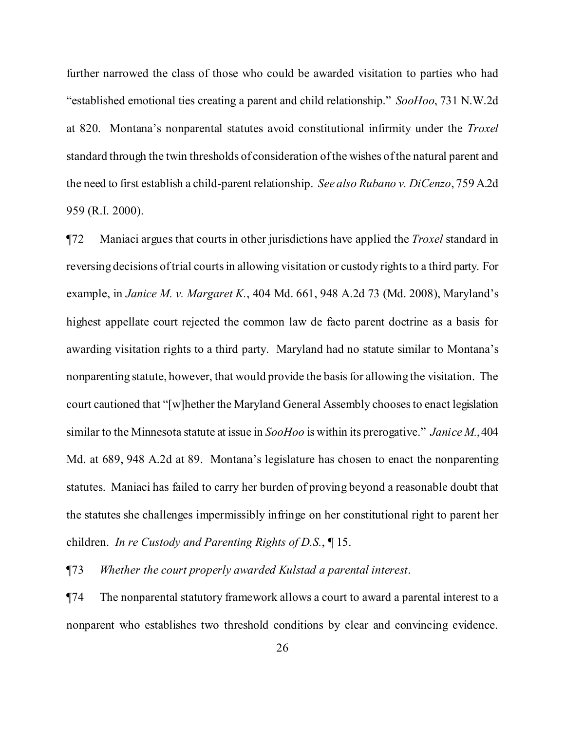further narrowed the class of those who could be awarded visitation to parties who had "established emotional ties creating a parent and child relationship." *SooHoo*, 731 N.W.2d at 820. Montana's nonparental statutes avoid constitutional infirmity under the *Troxel* standard through the twin thresholds of consideration ofthe wishes ofthe natural parent and the need to first establish a child-parent relationship. *See also Rubano v. DiCenzo*, 759 A.2d 959 (R.I. 2000).

¶72 Maniaci argues that courts in other jurisdictions have applied the *Troxel* standard in reversing decisions of trial courts in allowing visitation or custody rights to a third party. For example, in *Janice M. v. Margaret K.*, 404 Md. 661, 948 A.2d 73 (Md. 2008), Maryland's highest appellate court rejected the common law de facto parent doctrine as a basis for awarding visitation rights to a third party. Maryland had no statute similar to Montana's nonparenting statute, however, that would provide the basis for allowing the visitation. The court cautioned that "[w]hether the Maryland General Assembly choosesto enact legislation similar to the Minnesota statute at issue in *SooHoo* is within its prerogative." *Janice M.*,404 Md. at 689, 948 A.2d at 89. Montana's legislature has chosen to enact the nonparenting statutes. Maniaci has failed to carry her burden of proving beyond a reasonable doubt that the statutes she challenges impermissibly infringe on her constitutional right to parent her children. *In re Custody and Parenting Rights of D.S.*, ¶ 15.

¶73 *Whether the court properly awarded Kulstad a parental interest*.

¶74 The nonparental statutory framework allows a court to award a parental interest to a nonparent who establishes two threshold conditions by clear and convincing evidence.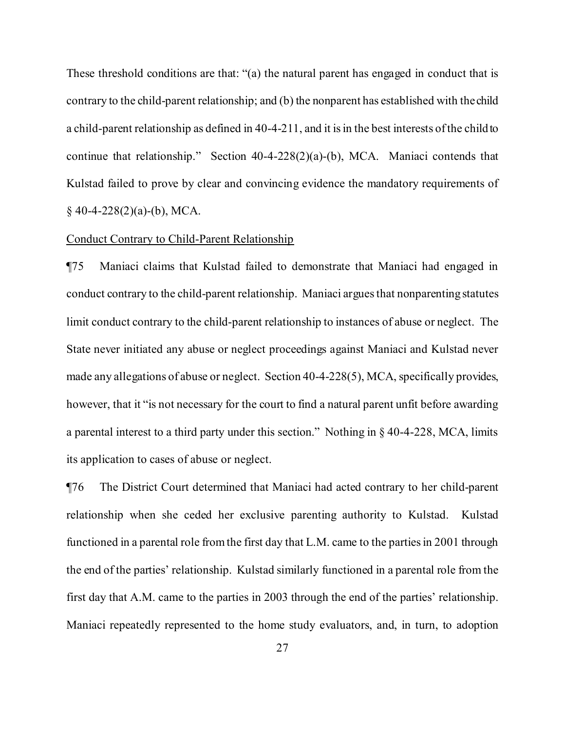These threshold conditions are that: "(a) the natural parent has engaged in conduct that is contrary to the child-parent relationship; and (b) the nonparent has established with the child a child-parent relationship as defined in 40-4-211, and it is in the best interests of the child to continue that relationship." Section 40-4-228(2)(a)-(b), MCA. Maniaci contends that Kulstad failed to prove by clear and convincing evidence the mandatory requirements of  $§$  40-4-228(2)(a)-(b), MCA.

## Conduct Contrary to Child-Parent Relationship

¶75 Maniaci claims that Kulstad failed to demonstrate that Maniaci had engaged in conduct contrary to the child-parent relationship. Maniaci argues that nonparenting statutes limit conduct contrary to the child-parent relationship to instances of abuse or neglect. The State never initiated any abuse or neglect proceedings against Maniaci and Kulstad never made any allegations of abuse or neglect. Section 40-4-228(5), MCA, specifically provides, however, that it "is not necessary for the court to find a natural parent unfit before awarding a parental interest to a third party under this section." Nothing in § 40-4-228, MCA, limits its application to cases of abuse or neglect.

¶76 The District Court determined that Maniaci had acted contrary to her child-parent relationship when she ceded her exclusive parenting authority to Kulstad. Kulstad functioned in a parental role from the first day that L.M. came to the parties in 2001 through the end of the parties' relationship. Kulstad similarly functioned in a parental role from the first day that A.M. came to the parties in 2003 through the end of the parties' relationship. Maniaci repeatedly represented to the home study evaluators, and, in turn, to adoption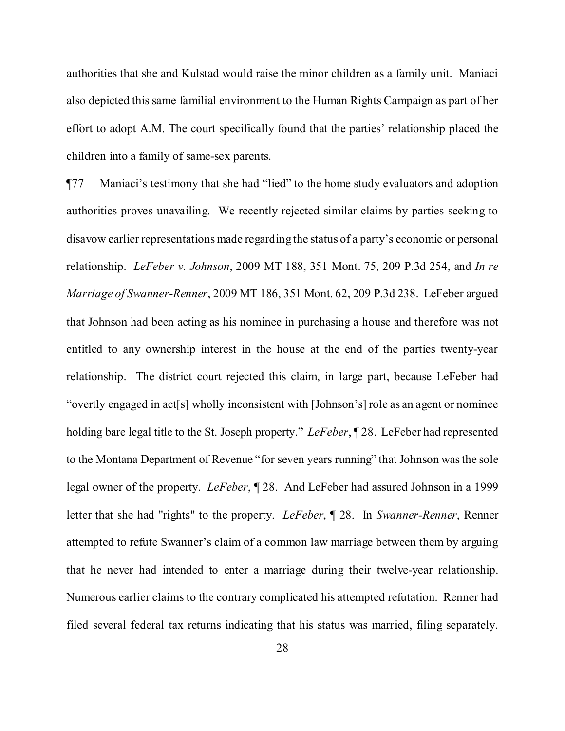authorities that she and Kulstad would raise the minor children as a family unit. Maniaci also depicted this same familial environment to the Human Rights Campaign as part of her effort to adopt A.M. The court specifically found that the parties' relationship placed the children into a family of same-sex parents.

¶77 Maniaci's testimony that she had "lied" to the home study evaluators and adoption authorities proves unavailing. We recently rejected similar claims by parties seeking to disavow earlier representations made regarding the status of a party's economic or personal relationship. *LeFeber v. Johnson*, 2009 MT 188, 351 Mont. 75, 209 P.3d 254, and *In re Marriage of Swanner-Renner*, 2009 MT 186, 351 Mont. 62, 209 P.3d 238. LeFeber argued that Johnson had been acting as his nominee in purchasing a house and therefore was not entitled to any ownership interest in the house at the end of the parties twenty-year relationship. The district court rejected this claim, in large part, because LeFeber had "overtly engaged in act[s] wholly inconsistent with [Johnson's] role as an agent or nominee holding bare legal title to the St. Joseph property." *LeFeber*, ¶ 28. LeFeber had represented to the Montana Department of Revenue "for seven years running" that Johnson wasthe sole legal owner of the property. *LeFeber*, ¶ 28. And LeFeber had assured Johnson in a 1999 letter that she had "rights" to the property. *LeFeber*, ¶ 28. In *Swanner-Renner*, Renner attempted to refute Swanner's claim of a common law marriage between them by arguing that he never had intended to enter a marriage during their twelve-year relationship. Numerous earlier claims to the contrary complicated his attempted refutation. Renner had filed several federal tax returns indicating that his status was married, filing separately.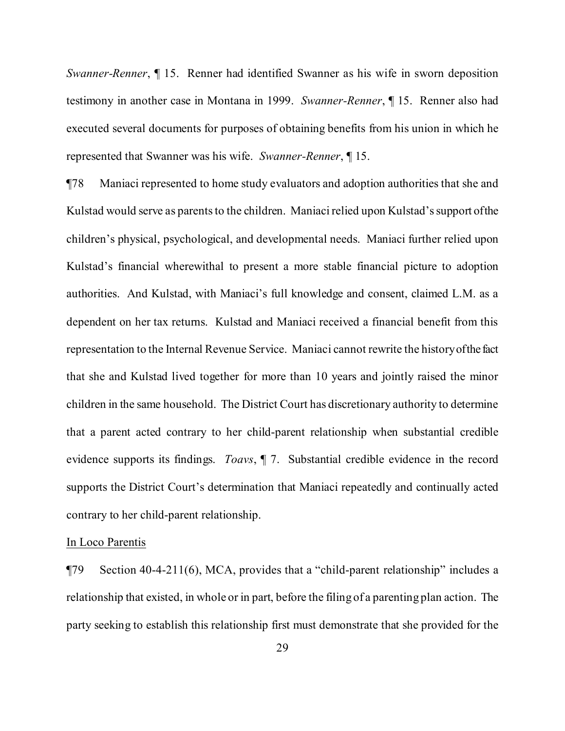*Swanner-Renner*, ¶ 15. Renner had identified Swanner as his wife in sworn deposition testimony in another case in Montana in 1999. *Swanner-Renner*, ¶ 15. Renner also had executed several documents for purposes of obtaining benefits from his union in which he represented that Swanner was his wife. *Swanner-Renner*, ¶ 15.

¶78 Maniaci represented to home study evaluators and adoption authorities that she and Kulstad would serve as parents to the children. Maniaci relied upon Kulstad's support of the children's physical, psychological, and developmental needs. Maniaci further relied upon Kulstad's financial wherewithal to present a more stable financial picture to adoption authorities. And Kulstad, with Maniaci's full knowledge and consent, claimed L.M. as a dependent on her tax returns. Kulstad and Maniaci received a financial benefit from this representation to the Internal Revenue Service. Maniaci cannot rewrite the historyofthe fact that she and Kulstad lived together for more than 10 years and jointly raised the minor children in the same household. The District Court has discretionary authority to determine that a parent acted contrary to her child-parent relationship when substantial credible evidence supports its findings. *Toavs*, ¶ 7. Substantial credible evidence in the record supports the District Court's determination that Maniaci repeatedly and continually acted contrary to her child-parent relationship.

## In Loco Parentis

¶79 Section 40-4-211(6), MCA, provides that a "child-parent relationship" includes a relationship that existed, in whole or in part, before the filing of a parenting plan action. The party seeking to establish this relationship first must demonstrate that she provided for the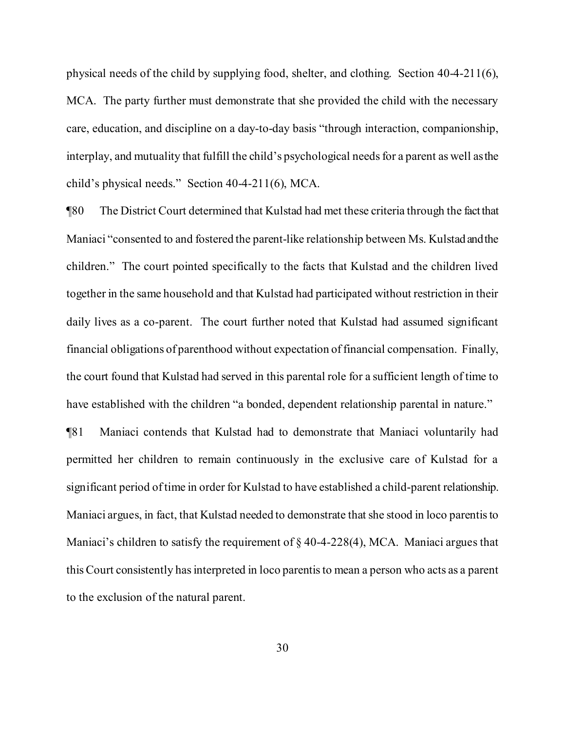physical needs of the child by supplying food, shelter, and clothing. Section 40-4-211(6), MCA. The party further must demonstrate that she provided the child with the necessary care, education, and discipline on a day-to-day basis "through interaction, companionship, interplay, and mutuality that fulfill the child's psychological needs for a parent as well as the child's physical needs." Section 40-4-211(6), MCA.

¶80 The District Court determined that Kulstad had met these criteria through the factthat Maniaci "consented to and fostered the parent-like relationship between Ms. Kulstad andthe children." The court pointed specifically to the facts that Kulstad and the children lived together in the same household and that Kulstad had participated without restriction in their daily lives as a co-parent. The court further noted that Kulstad had assumed significant financial obligations of parenthood without expectation offinancial compensation. Finally, the court found that Kulstad had served in this parental role for a sufficient length of time to have established with the children "a bonded, dependent relationship parental in nature."

¶81 Maniaci contends that Kulstad had to demonstrate that Maniaci voluntarily had permitted her children to remain continuously in the exclusive care of Kulstad for a significant period oftime in order for Kulstad to have established a child-parent relationship. Maniaci argues, in fact, that Kulstad needed to demonstrate that she stood in loco parentisto Maniaci's children to satisfy the requirement of  $\S$  40-4-228(4), MCA. Maniaci argues that thisCourt consistently hasinterpreted in loco parentisto mean a person who acts as a parent to the exclusion of the natural parent.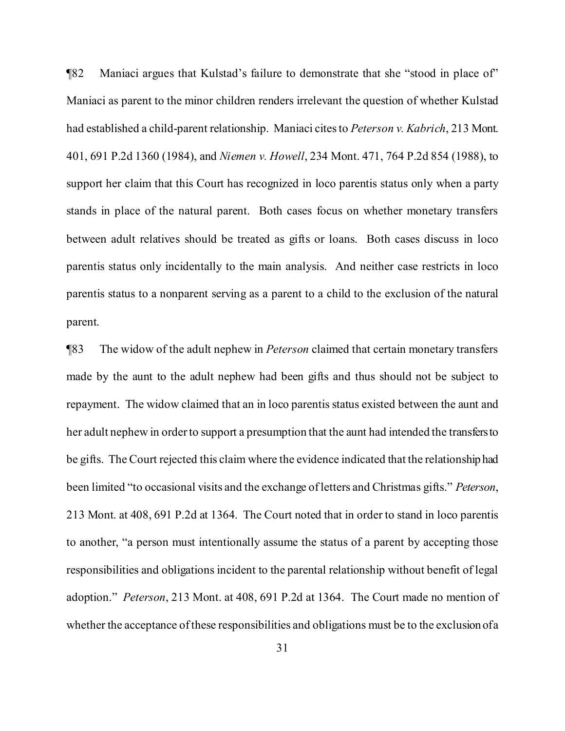¶82 Maniaci argues that Kulstad's failure to demonstrate that she "stood in place of" Maniaci as parent to the minor children renders irrelevant the question of whether Kulstad had established a child-parent relationship. Maniaci citesto *Peterson v. Kabrich*, 213 Mont. 401, 691 P.2d 1360 (1984), and *Niemen v. Howell*, 234 Mont. 471, 764 P.2d 854 (1988), to support her claim that this Court has recognized in loco parentis status only when a party stands in place of the natural parent. Both cases focus on whether monetary transfers between adult relatives should be treated as gifts or loans. Both cases discuss in loco parentis status only incidentally to the main analysis. And neither case restricts in loco parentis status to a nonparent serving as a parent to a child to the exclusion of the natural parent.

¶83 The widow of the adult nephew in *Peterson* claimed that certain monetary transfers made by the aunt to the adult nephew had been gifts and thus should not be subject to repayment. The widow claimed that an in loco parentis status existed between the aunt and her adult nephew in order to support a presumption that the aunt had intended the transfers to be gifts. The Court rejected this claim where the evidence indicated that the relationship had been limited "to occasional visits and the exchange ofletters and Christmas gifts." *Peterson*, 213 Mont. at 408, 691 P.2d at 1364. The Court noted that in order to stand in loco parentis to another, "a person must intentionally assume the status of a parent by accepting those responsibilities and obligations incident to the parental relationship without benefit of legal adoption." *Peterson*, 213 Mont. at 408, 691 P.2d at 1364. The Court made no mention of whether the acceptance of these responsibilities and obligations must be to the exclusion of a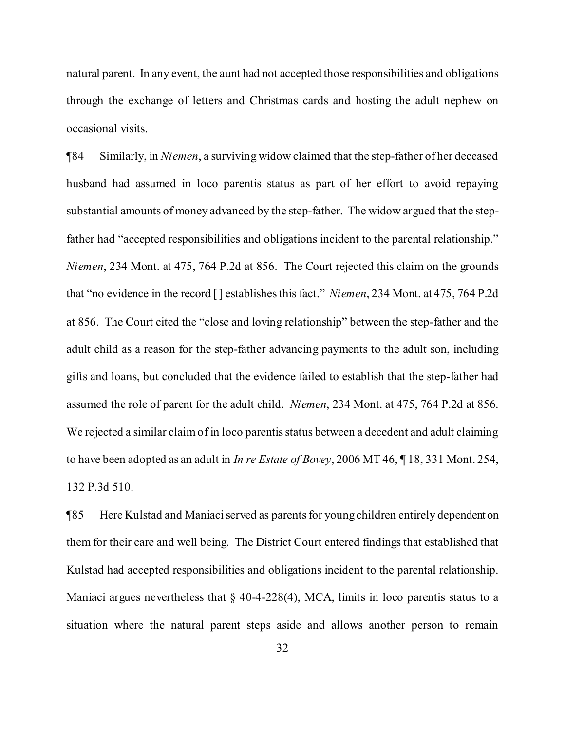natural parent. In any event, the aunt had not accepted those responsibilities and obligations through the exchange of letters and Christmas cards and hosting the adult nephew on occasional visits.

¶84 Similarly, in *Niemen*, a surviving widow claimed that the step-father of her deceased husband had assumed in loco parentis status as part of her effort to avoid repaying substantial amounts of money advanced by the step-father. The widow argued that the stepfather had "accepted responsibilities and obligations incident to the parental relationship." *Niemen*, 234 Mont. at 475, 764 P.2d at 856. The Court rejected this claim on the grounds that "no evidence in the record [] establishes this fact." *Niemen*, 234 Mont. at 475, 764 P.2d at 856. The Court cited the "close and loving relationship" between the step-father and the adult child as a reason for the step-father advancing payments to the adult son, including gifts and loans, but concluded that the evidence failed to establish that the step-father had assumed the role of parent for the adult child. *Niemen*, 234 Mont. at 475, 764 P.2d at 856. We rejected a similar claim of in loco parentis status between a decedent and adult claiming to have been adopted as an adult in *In re Estate of Bovey*, 2006 MT 46, ¶ 18, 331 Mont. 254, 132 P.3d 510.

¶85 Here Kulstad and Maniaciserved as parentsfor young children entirely dependent on them for their care and well being. The District Court entered findings that established that Kulstad had accepted responsibilities and obligations incident to the parental relationship. Maniaci argues nevertheless that  $\S$  40-4-228(4), MCA, limits in loco parentis status to a situation where the natural parent steps aside and allows another person to remain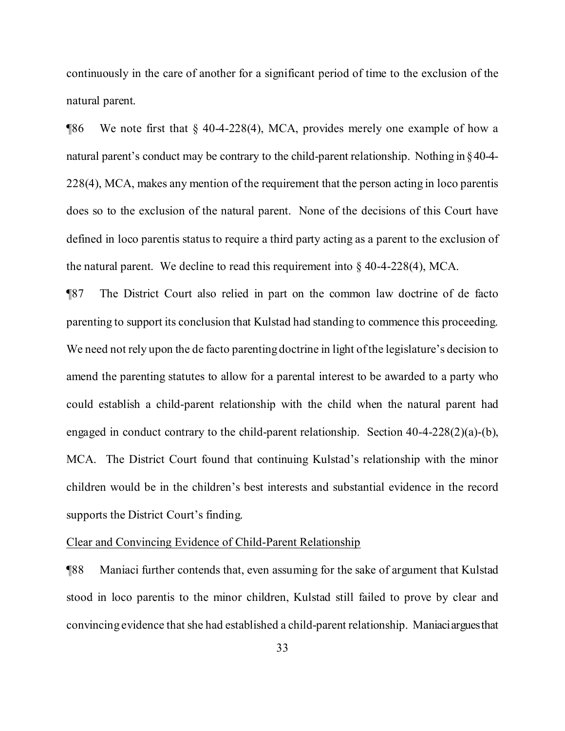continuously in the care of another for a significant period of time to the exclusion of the natural parent.

¶86 We note first that § 40-4-228(4), MCA, provides merely one example of how a natural parent's conduct may be contrary to the child-parent relationship. Nothing in §40-4- 228(4), MCA, makes any mention of the requirement that the person acting in loco parentis does so to the exclusion of the natural parent. None of the decisions of this Court have defined in loco parentis status to require a third party acting as a parent to the exclusion of the natural parent. We decline to read this requirement into  $\S$  40-4-228(4), MCA.

¶87 The District Court also relied in part on the common law doctrine of de facto parenting to support its conclusion that Kulstad had standing to commence this proceeding. We need not rely upon the de facto parenting doctrine in light of the legislature's decision to amend the parenting statutes to allow for a parental interest to be awarded to a party who could establish a child-parent relationship with the child when the natural parent had engaged in conduct contrary to the child-parent relationship. Section 40-4-228(2)(a)-(b), MCA. The District Court found that continuing Kulstad's relationship with the minor children would be in the children's best interests and substantial evidence in the record supports the District Court's finding.

# Clear and Convincing Evidence of Child-Parent Relationship

¶88 Maniaci further contends that, even assuming for the sake of argument that Kulstad stood in loco parentis to the minor children, Kulstad still failed to prove by clear and convincing evidence that she had established a child-parent relationship. Maniaciarguesthat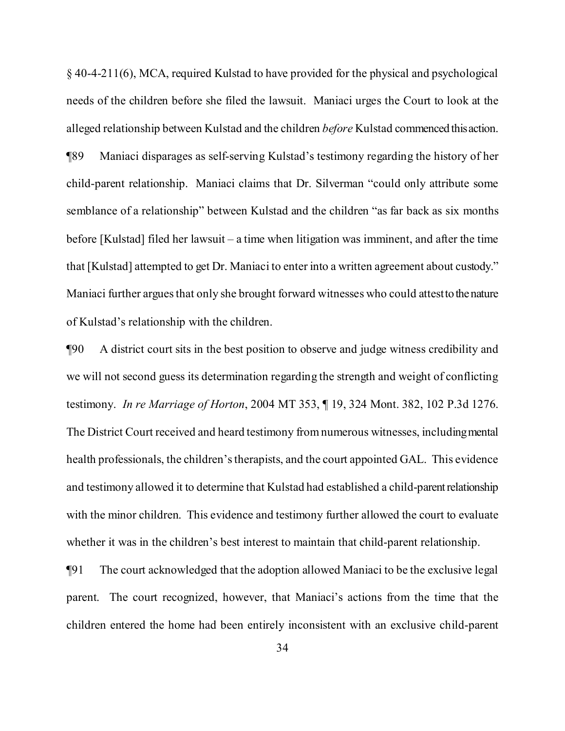§ 40-4-211(6), MCA, required Kulstad to have provided for the physical and psychological needs of the children before she filed the lawsuit. Maniaci urges the Court to look at the alleged relationship between Kulstad and the children *before* Kulstad commenced thisaction. ¶89 Maniaci disparages as self-serving Kulstad's testimony regarding the history of her child-parent relationship. Maniaci claims that Dr. Silverman "could only attribute some semblance of a relationship" between Kulstad and the children "as far back as six months before [Kulstad] filed her lawsuit – a time when litigation was imminent, and after the time that [Kulstad] attempted to get Dr. Maniaci to enter into a written agreement about custody." Maniaci further argues that only she brought forward witnesses who could attest to the nature of Kulstad's relationship with the children.

¶90 A district court sits in the best position to observe and judge witness credibility and we will not second guess its determination regarding the strength and weight of conflicting testimony. *In re Marriage of Horton*, 2004 MT 353, ¶ 19, 324 Mont. 382, 102 P.3d 1276. The District Court received and heard testimony fromnumerous witnesses, includingmental health professionals, the children's therapists, and the court appointed GAL. This evidence and testimony allowed it to determine that Kulstad had established a child-parentrelationship with the minor children. This evidence and testimony further allowed the court to evaluate whether it was in the children's best interest to maintain that child-parent relationship.

¶91 The court acknowledged that the adoption allowed Maniaci to be the exclusive legal parent. The court recognized, however, that Maniaci's actions from the time that the children entered the home had been entirely inconsistent with an exclusive child-parent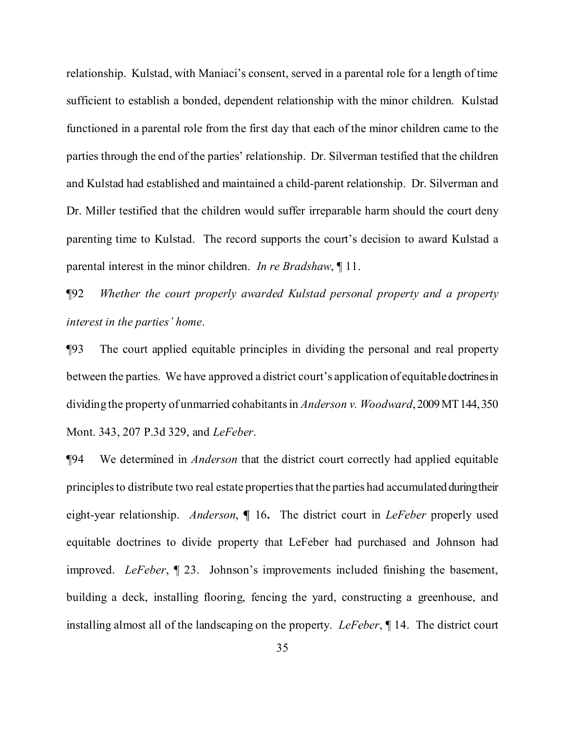relationship. Kulstad, with Maniaci's consent, served in a parental role for a length of time sufficient to establish a bonded, dependent relationship with the minor children. Kulstad functioned in a parental role from the first day that each of the minor children came to the parties through the end of the parties' relationship. Dr. Silverman testified that the children and Kulstad had established and maintained a child-parent relationship. Dr. Silverman and Dr. Miller testified that the children would suffer irreparable harm should the court deny parenting time to Kulstad. The record supports the court's decision to award Kulstad a parental interest in the minor children. *In re Bradshaw*, ¶ 11.

¶92 *Whether the court properly awarded Kulstad personal property and a property interest in the parties' home*.

¶93 The court applied equitable principles in dividing the personal and real property between the parties. We have approved a district court's application of equitabledoctrinesin dividing the property of unmarried cohabitantsin *Anderson v. Woodward*,2009MT144,350 Mont. 343, 207 P.3d 329, and *LeFeber*.

¶94 We determined in *Anderson* that the district court correctly had applied equitable principles to distribute two real estate properties that the parties had accumulated during their eight-year relationship. *Anderson*, **¶** 16**.** The district court in *LeFeber* properly used equitable doctrines to divide property that LeFeber had purchased and Johnson had improved. *LeFeber*, ¶ 23. Johnson's improvements included finishing the basement, building a deck, installing flooring, fencing the yard, constructing a greenhouse, and installing almost all of the landscaping on the property. *LeFeber*, ¶ 14. The district court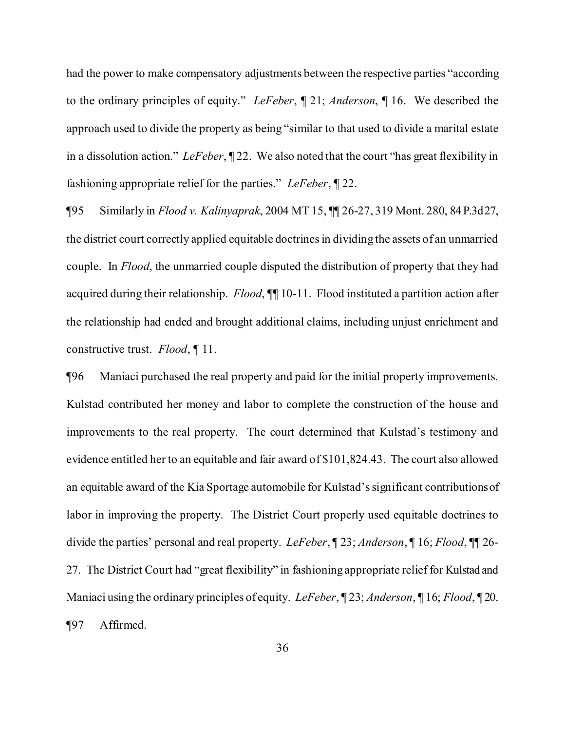had the power to make compensatory adjustments between the respective parties "according to the ordinary principles of equity." *LeFeber*, ¶ 21; *Anderson*, ¶ 16. We described the approach used to divide the property as being "similar to that used to divide a marital estate in a dissolution action." *LeFeber*, ¶ 22. We also noted that the court "has great flexibility in fashioning appropriate relief for the parties." *LeFeber*, ¶ 22.

¶95 Similarly in *Flood v. Kalinyaprak*, 2004 MT 15, ¶¶ 26-27, 319 Mont. 280, 84P.3d27, the district court correctly applied equitable doctrinesin dividing the assets of an unmarried couple. In *Flood*, the unmarried couple disputed the distribution of property that they had acquired during their relationship. *Flood*, ¶¶ 10-11. Flood instituted a partition action after the relationship had ended and brought additional claims, including unjust enrichment and constructive trust. *Flood*, ¶ 11.

¶96 Maniaci purchased the real property and paid for the initial property improvements. Kulstad contributed her money and labor to complete the construction of the house and improvements to the real property. The court determined that Kulstad's testimony and evidence entitled her to an equitable and fair award of \$101,824.43. The court also allowed an equitable award of the Kia Sportage automobile for Kulstad'ssignificant contributionsof labor in improving the property. The District Court properly used equitable doctrines to divide the parties' personal and real property. *LeFeber*, ¶ 23; *Anderson*, ¶ 16; *Flood*, ¶¶ 26- 27. The District Court had "great flexibility" in fashioning appropriate relief for Kulstad and Maniaci using the ordinary principles of equity. *LeFeber*, ¶ 23; *Anderson*, ¶ 16; *Flood*, ¶ 20. ¶97 Affirmed.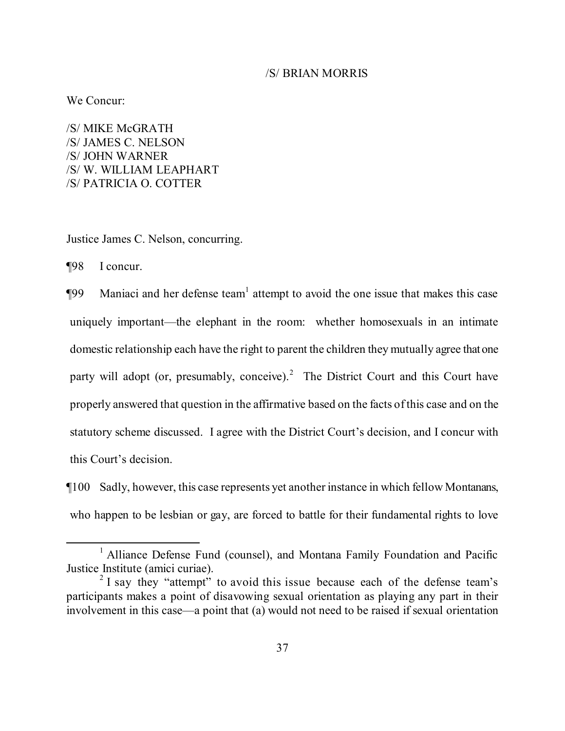# /S/ BRIAN MORRIS

We Concur:

/S/ MIKE McGRATH /S/ JAMES C. NELSON /S/ JOHN WARNER /S/ W. WILLIAM LEAPHART /S/ PATRICIA O. COTTER

Justice James C. Nelson, concurring.

¶98 I concur.

**The System Maniaci and her defense team** attempt to avoid the one issue that makes this case uniquely important—the elephant in the room: whether homosexuals in an intimate domestic relationship each have the right to parent the children they mutually agree that one party will adopt (or, presumably, conceive).<sup>[2](#page-36-1)</sup> The District Court and this Court have properly answered that question in the affirmative based on the facts ofthis case and on the statutory scheme discussed. I agree with the District Court's decision, and I concur with this Court's decision.

¶100 Sadly, however, this case represents yet another instance in which fellow Montanans, who happen to be lesbian or gay, are forced to battle for their fundamental rights to love

<span id="page-36-0"></span><sup>&</sup>lt;sup>1</sup> Alliance Defense Fund (counsel), and Montana Family Foundation and Pacific Justice Institute (amici curiae).

<span id="page-36-1"></span> $2$  I say they "attempt" to avoid this issue because each of the defense team's participants makes a point of disavowing sexual orientation as playing any part in their involvement in this case—a point that (a) would not need to be raised if sexual orientation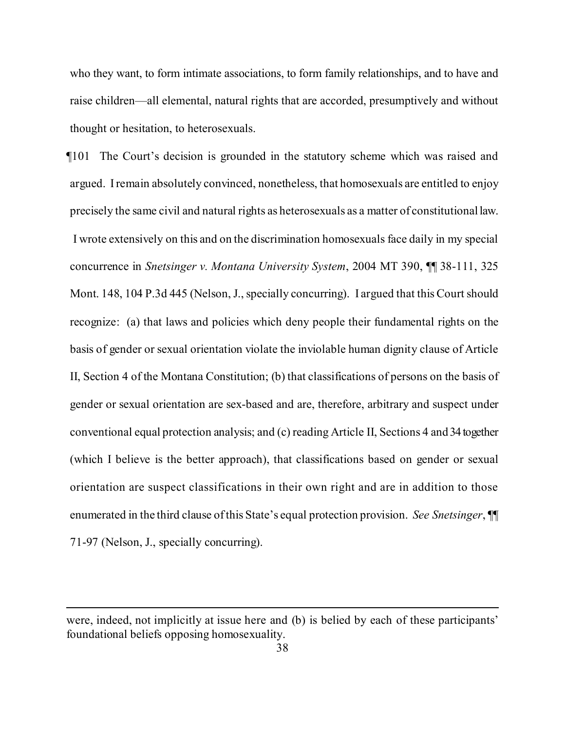who they want, to form intimate associations, to form family relationships, and to have and raise children—all elemental, natural rights that are accorded, presumptively and without thought or hesitation, to heterosexuals.

¶101 The Court's decision is grounded in the statutory scheme which was raised and argued. Iremain absolutely convinced, nonetheless, that homosexuals are entitled to enjoy precisely the same civil and natural rights as heterosexuals as a matter of constitutionallaw. I wrote extensively on this and on the discrimination homosexuals face daily in my special concurrence in *Snetsinger v. Montana University System*, 2004 MT 390, ¶¶ 38-111, 325 Mont. 148, 104 P.3d 445 (Nelson, J., specially concurring). I argued that this Court should recognize: (a) that laws and policies which deny people their fundamental rights on the basis of gender or sexual orientation violate the inviolable human dignity clause of Article II, Section 4 of the Montana Constitution; (b) that classifications of persons on the basis of gender or sexual orientation are sex-based and are, therefore, arbitrary and suspect under conventional equal protection analysis; and (c) reading Article II, Sections 4 and 34 together (which I believe is the better approach), that classifications based on gender or sexual orientation are suspect classifications in their own right and are in addition to those enumerated in the third clause ofthis State's equal protection provision. *See Snetsinger*, ¶¶ 71-97 (Nelson, J., specially concurring).

were, indeed, not implicitly at issue here and (b) is belied by each of these participants' foundational beliefs opposing homosexuality.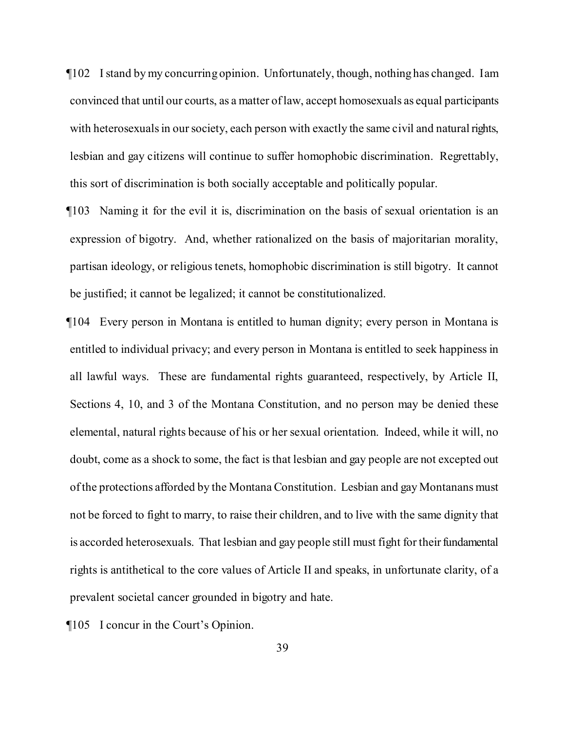¶102 Istand by my concurring opinion. Unfortunately, though, nothing has changed. Iam convinced that until our courts, as a matter oflaw, accept homosexuals as equal participants with heterosexuals in our society, each person with exactly the same civil and natural rights, lesbian and gay citizens will continue to suffer homophobic discrimination. Regrettably, this sort of discrimination is both socially acceptable and politically popular.

¶103 Naming it for the evil it is, discrimination on the basis of sexual orientation is an expression of bigotry. And, whether rationalized on the basis of majoritarian morality, partisan ideology, or religious tenets, homophobic discrimination is still bigotry. It cannot be justified; it cannot be legalized; it cannot be constitutionalized.

¶104 Every person in Montana is entitled to human dignity; every person in Montana is entitled to individual privacy; and every person in Montana is entitled to seek happiness in all lawful ways. These are fundamental rights guaranteed, respectively, by Article II, Sections 4, 10, and 3 of the Montana Constitution, and no person may be denied these elemental, natural rights because of his or her sexual orientation. Indeed, while it will, no doubt, come as a shock to some, the fact is that lesbian and gay people are not excepted out ofthe protections afforded by the Montana Constitution. Lesbian and gay Montanans must not be forced to fight to marry, to raise their children, and to live with the same dignity that is accorded heterosexuals. That lesbian and gay people still must fight for their fundamental rights is antithetical to the core values of Article II and speaks, in unfortunate clarity, of a prevalent societal cancer grounded in bigotry and hate.

¶105 I concur in the Court's Opinion.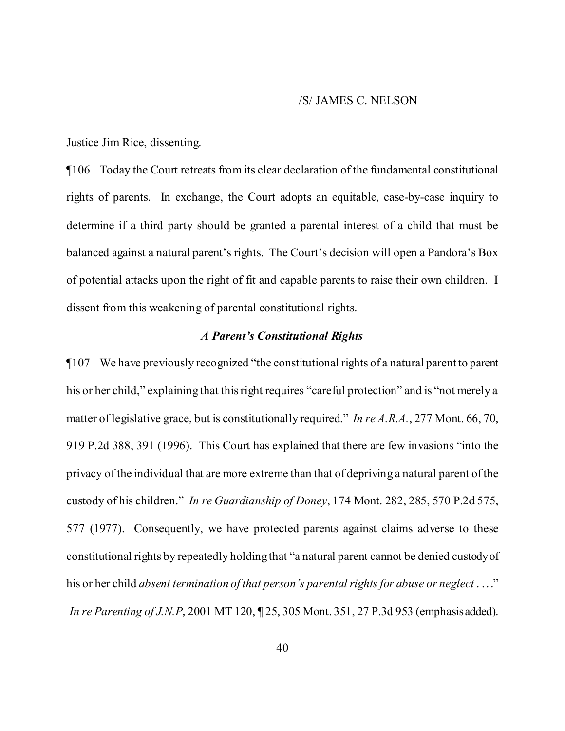#### /S/ JAMES C. NELSON

Justice Jim Rice, dissenting.

¶106 Today the Court retreats from its clear declaration of the fundamental constitutional rights of parents. In exchange, the Court adopts an equitable, case-by-case inquiry to determine if a third party should be granted a parental interest of a child that must be balanced against a natural parent's rights. The Court's decision will open a Pandora's Box of potential attacks upon the right of fit and capable parents to raise their own children. I dissent from this weakening of parental constitutional rights.

# *A Parent's Constitutional Rights*

¶107 We have previously recognized "the constitutional rights of a natural parent to parent his or her child," explaining that this right requires "careful protection" and is "not merely a matter of legislative grace, but is constitutionally required." *In re A.R.A.*, 277 Mont. 66, 70, 919 P.2d 388, 391 (1996). This Court has explained that there are few invasions "into the privacy of the individual that are more extreme than that of depriving a natural parent ofthe custody of his children." *In re Guardianship of Doney*, 174 Mont. 282, 285, 570 P.2d 575, 577 (1977). Consequently, we have protected parents against claims adverse to these constitutional rights by repeatedly holding that "a natural parent cannot be denied custodyof his or her child *absent termination of that person's parental rights for abuse or neglect* . ..." *In re Parenting of J.N.P*, 2001 MT 120, ¶ 25, 305 Mont. 351, 27 P.3d 953 (emphasisadded).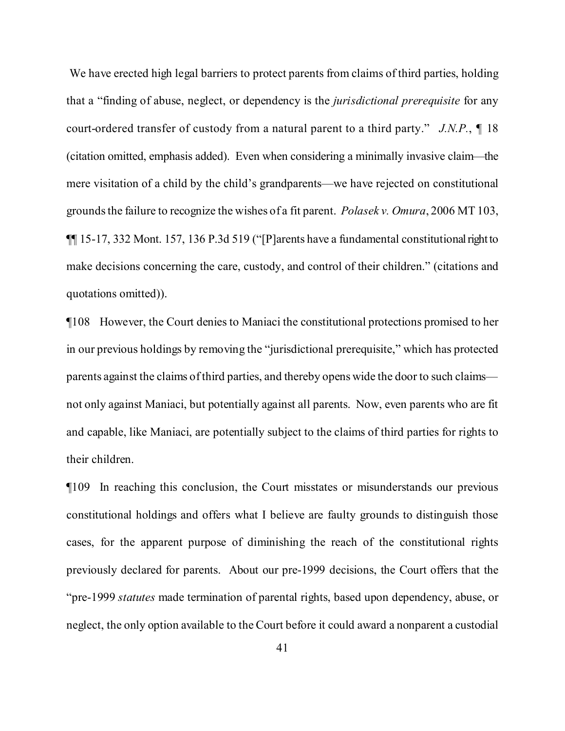We have erected high legal barriers to protect parents from claims of third parties, holding that a "finding of abuse, neglect, or dependency is the *jurisdictional prerequisite* for any court-ordered transfer of custody from a natural parent to a third party." *J.N.P.*, ¶ 18 (citation omitted, emphasis added). Even when considering a minimally invasive claim—the mere visitation of a child by the child's grandparents—we have rejected on constitutional groundsthe failure to recognize the wishes of a fit parent. *Polasek v. Omura*, 2006 MT 103,  $\P$ [15-17, 332 Mont. 157, 136 P.3d 519 ("[P]arents have a fundamental constitutional right to make decisions concerning the care, custody, and control of their children." (citations and quotations omitted)).

¶108 However, the Court denies to Maniaci the constitutional protections promised to her in our previous holdings by removing the "jurisdictional prerequisite," which has protected parents against the claims ofthird parties, and thereby opens wide the door to such claims not only against Maniaci, but potentially against all parents. Now, even parents who are fit and capable, like Maniaci, are potentially subject to the claims of third parties for rights to their children.

¶109 In reaching this conclusion, the Court misstates or misunderstands our previous constitutional holdings and offers what I believe are faulty grounds to distinguish those cases, for the apparent purpose of diminishing the reach of the constitutional rights previously declared for parents. About our pre-1999 decisions, the Court offers that the "pre-1999 *statutes* made termination of parental rights, based upon dependency, abuse, or neglect, the only option available to the Court before it could award a nonparent a custodial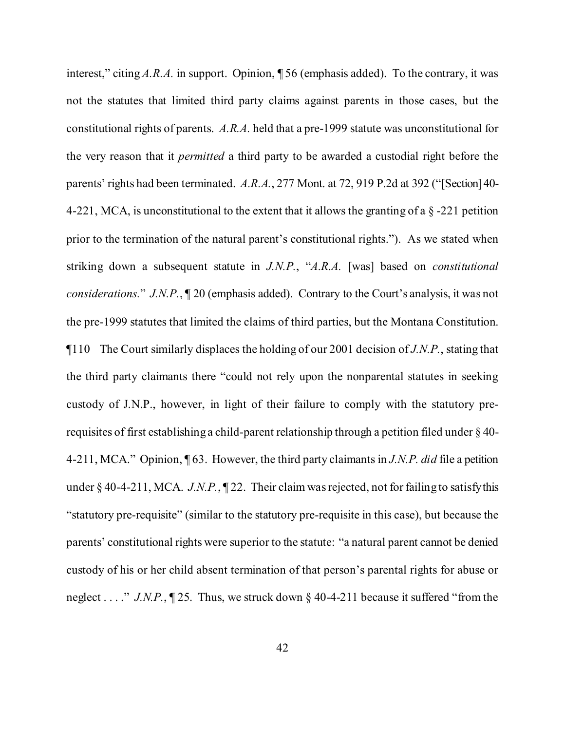interest," citing *A.R.A.* in support. Opinion, ¶ 56 (emphasis added). To the contrary, it was not the statutes that limited third party claims against parents in those cases, but the constitutional rights of parents. *A.R.A.* held that a pre-1999 statute was unconstitutional for the very reason that it *permitted* a third party to be awarded a custodial right before the parents' rights had been terminated. *A.R.A.*, 277 Mont. at 72, 919 P.2d at 392 ("[Section]40- 4-221, MCA, is unconstitutional to the extent that it allows the granting of a  $\S$ -221 petition prior to the termination of the natural parent's constitutional rights."). As we stated when striking down a subsequent statute in *J.N.P.*, "*A.R.A.* [was] based on *constitutional considerations.*" *J.N.P.*, ¶ 20 (emphasis added). Contrary to the Court's analysis, it was not the pre-1999 statutes that limited the claims of third parties, but the Montana Constitution. ¶110 The Court similarly displaces the holding of our 2001 decision of *J.N.P.*, stating that the third party claimants there "could not rely upon the nonparental statutes in seeking custody of J.N.P., however, in light of their failure to comply with the statutory prerequisites of first establishing a child-parent relationship through a petition filed under § 40- 4-211, MCA." Opinion, ¶ 63. However, the third party claimants in *J.N.P. did* file a petition under § 40-4-211, MCA. *J.N.P.*, ¶ 22. Their claim was rejected, not for failing to satisfy this "statutory pre-requisite" (similar to the statutory pre-requisite in this case), but because the parents' constitutional rights were superior to the statute: "a natural parent cannot be denied custody of his or her child absent termination of that person's parental rights for abuse or neglect . . . ." *J.N.P.*, ¶ 25. Thus, we struck down § 40-4-211 because it suffered "from the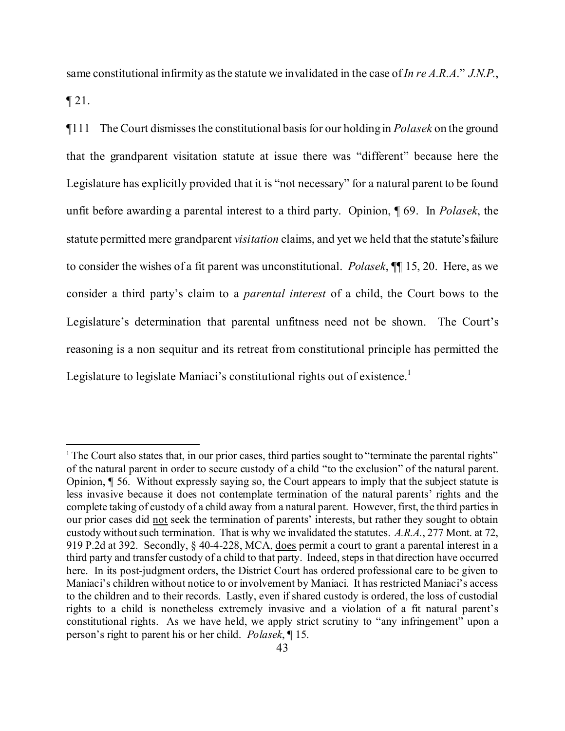same constitutional infirmity asthe statute we invalidated in the case of*In re A.R.A*." *J.N.P.*,

 $\P$  21.

¶111 The Court dismissesthe constitutional basis for our holding in *Polasek* on the ground that the grandparent visitation statute at issue there was "different" because here the Legislature has explicitly provided that it is "not necessary" for a natural parent to be found unfit before awarding a parental interest to a third party. Opinion, ¶ 69. In *Polasek*, the statute permitted mere grandparent *visitation* claims, and yet we held that the statute'sfailure to consider the wishes of a fit parent was unconstitutional. *Polasek*, ¶¶ 15, 20. Here, as we consider a third party's claim to a *parental interest* of a child, the Court bows to the Legislature's determination that parental unfitness need not be shown. The Court's reasoning is a non sequitur and its retreat from constitutional principle has permitted the Legislature to legislate Maniaci's constitutional rights out of existence.<sup>[1](#page-42-0)</sup>

<span id="page-42-0"></span><sup>&</sup>lt;sup>1</sup> The Court also states that, in our prior cases, third parties sought to "terminate the parental rights" of the natural parent in order to secure custody of a child "to the exclusion" of the natural parent. Opinion, ¶ 56. Without expressly saying so, the Court appears to imply that the subject statute is less invasive because it does not contemplate termination of the natural parents' rights and the complete taking of custody of a child away from a natural parent. However, first, the third parties in our prior cases did not seek the termination of parents' interests, but rather they sought to obtain custody withoutsuch termination. That is why we invalidated the statutes. *A.R.A.*, 277 Mont. at 72, 919 P.2d at 392. Secondly, § 40-4-228, MCA, does permit a court to grant a parental interest in a third party and transfer custody of a child to that party. Indeed, steps in that direction have occurred here. In its post-judgment orders, the District Court has ordered professional care to be given to Maniaci's children without notice to or involvement by Maniaci. It has restricted Maniaci's access to the children and to their records. Lastly, even if shared custody is ordered, the loss of custodial rights to a child is nonetheless extremely invasive and a violation of a fit natural parent's constitutional rights. As we have held, we apply strict scrutiny to "any infringement" upon a person's right to parent his or her child. *Polasek*, ¶ 15.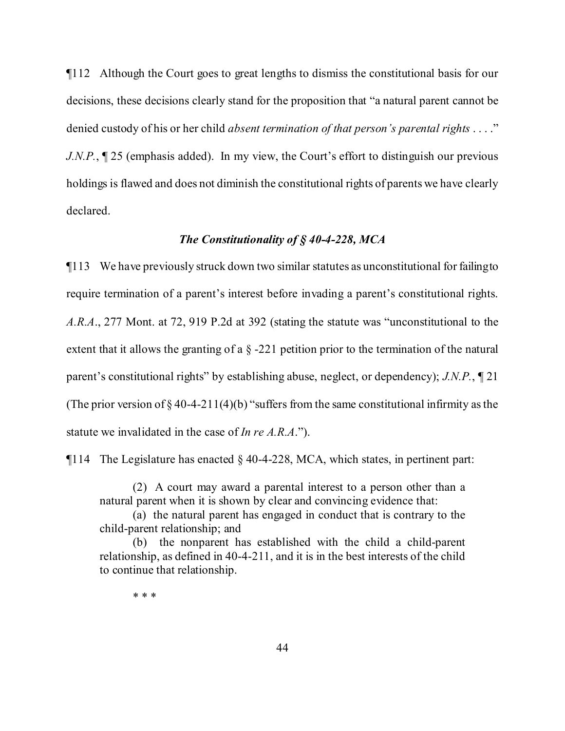¶112 Although the Court goes to great lengths to dismiss the constitutional basis for our decisions, these decisions clearly stand for the proposition that "a natural parent cannot be denied custody of his or her child *absent termination of that person's parental rights* . . . ." *J.N.P.*,  $\mathbb{I}25$  (emphasis added). In my view, the Court's effort to distinguish our previous holdings is flawed and does not diminish the constitutional rights of parents we have clearly declared.

# *The Constitutionality of § 40-4-228, MCA*

¶113 We have previously struck down two similar statutes as unconstitutional for failingto require termination of a parent's interest before invading a parent's constitutional rights. *A.R.A*., 277 Mont. at 72, 919 P.2d at 392 (stating the statute was "unconstitutional to the extent that it allows the granting of a  $\S$  -221 petition prior to the termination of the natural parent's constitutional rights" by establishing abuse, neglect, or dependency); *J.N.P.*, ¶ 21 (The prior version of  $\S 40-4-211(4)(b)$  "suffers from the same constitutional infirmity as the statute we invalidated in the case of *In re A.R.A*.").

 $\P$ 114 The Legislature has enacted § 40-4-228, MCA, which states, in pertinent part:

(2) A court may award a parental interest to a person other than a natural parent when it is shown by clear and convincing evidence that:

(a) the natural parent has engaged in conduct that is contrary to the child-parent relationship; and

(b) the nonparent has established with the child a child-parent relationship, as defined in 40-4-211, and it is in the best interests of the child to continue that relationship.

\* \* \*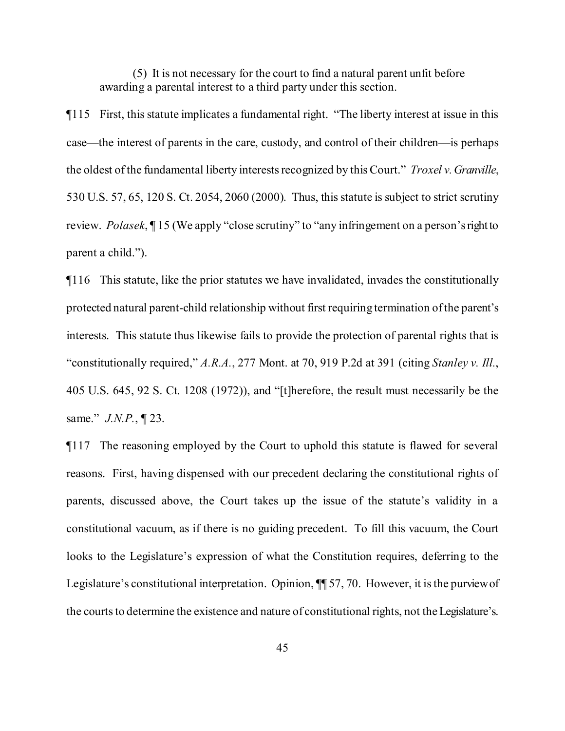(5) It is not necessary for the court to find a natural parent unfit before awarding a parental interest to a third party under this section.

¶115 First, this statute implicates a fundamental right. "The liberty interest at issue in this case—the interest of parents in the care, custody, and control of their children—is perhaps the oldest ofthe fundamental liberty interestsrecognized by thisCourt." *Troxel v.Granville*, 530 U.S. 57, 65, 120 S. Ct. 2054, 2060 (2000). Thus, this statute is subject to strict scrutiny review. *Polasek*, ¶ 15 (We apply "close scrutiny" to "any infringement on a person'srightto parent a child.").

¶116 This statute, like the prior statutes we have invalidated, invades the constitutionally protected natural parent-child relationship without first requiring termination ofthe parent's interests. This statute thus likewise fails to provide the protection of parental rights that is "constitutionally required," *A.R.A.*, 277 Mont. at 70, 919 P.2d at 391 (citing *Stanley v. Ill.*, 405 U.S. 645, 92 S. Ct. 1208 (1972)), and "[t]herefore, the result must necessarily be the same." *J.N.P.*, ¶ 23.

¶117 The reasoning employed by the Court to uphold this statute is flawed for several reasons. First, having dispensed with our precedent declaring the constitutional rights of parents, discussed above, the Court takes up the issue of the statute's validity in a constitutional vacuum, as if there is no guiding precedent. To fill this vacuum, the Court looks to the Legislature's expression of what the Constitution requires, deferring to the Legislature's constitutional interpretation. Opinion,  $\P$  57, 70. However, it is the purview of the courts to determine the existence and nature of constitutional rights, not the Legislature's.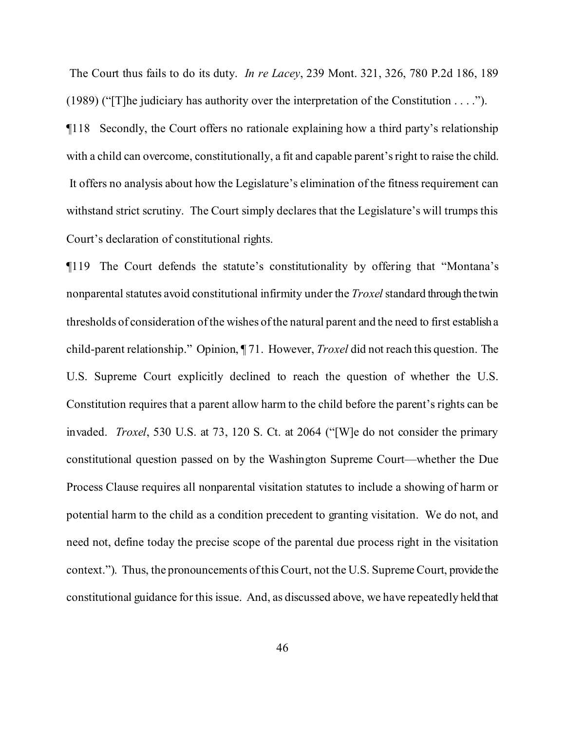The Court thus fails to do its duty. *In re Lacey*, 239 Mont. 321, 326, 780 P.2d 186, 189 (1989) ("[T]he judiciary has authority over the interpretation of the Constitution . . . ."). ¶118 Secondly, the Court offers no rationale explaining how a third party's relationship with a child can overcome, constitutionally, a fit and capable parent's right to raise the child. It offers no analysis about how the Legislature's elimination of the fitness requirement can withstand strict scrutiny. The Court simply declares that the Legislature's will trumps this Court's declaration of constitutional rights.

¶119 The Court defends the statute's constitutionality by offering that "Montana's nonparental statutes avoid constitutional infirmity under the *Troxel* standard through the twin thresholds of consideration ofthe wishes ofthe natural parent and the need to first establish a child-parent relationship." Opinion, ¶ 71. However, *Troxel* did not reach this question. The U.S. Supreme Court explicitly declined to reach the question of whether the U.S. Constitution requires that a parent allow harm to the child before the parent's rights can be invaded. *Troxel*, 530 U.S. at 73, 120 S. Ct. at 2064 ("[W]e do not consider the primary constitutional question passed on by the Washington Supreme Court—whether the Due Process Clause requires all nonparental visitation statutes to include a showing of harm or potential harm to the child as a condition precedent to granting visitation. We do not, and need not, define today the precise scope of the parental due process right in the visitation context."). Thus, the pronouncements ofthisCourt, not the U.S. Supreme Court, provide the constitutional guidance for this issue. And, as discussed above, we have repeatedly held that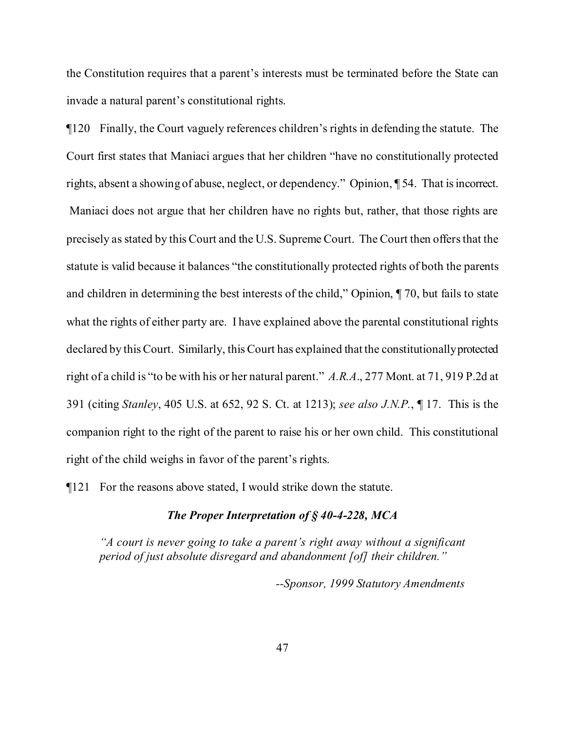the Constitution requires that a parent's interests must be terminated before the State can invade a natural parent's constitutional rights.

¶120 Finally, the Court vaguely references children's rights in defending the statute. The Court first states that Maniaci argues that her children "have no constitutionally protected rights, absent a showing of abuse, neglect, or dependency." Opinion, ¶ 54. That isincorrect. Maniaci does not argue that her children have no rights but, rather, that those rights are precisely as stated by thisCourt and the U.S. Supreme Court. The Court then offersthat the statute is valid because it balances "the constitutionally protected rights of both the parents and children in determining the best interests of the child," Opinion, ¶ 70, but fails to state what the rights of either party are. I have explained above the parental constitutional rights declared by thisCourt. Similarly, thisCourt has explained that the constitutionallyprotected right of a child is "to be with his or her natural parent." *A.R.A*., 277 Mont. at 71, 919 P.2d at 391 (citing *Stanley*, 405 U.S. at 652, 92 S. Ct. at 1213); *see also J.N.P.*, ¶ 17. This is the companion right to the right of the parent to raise his or her own child. This constitutional right of the child weighs in favor of the parent's rights.

¶121 For the reasons above stated, I would strike down the statute.

# *The Proper Interpretation of § 40-4-228, MCA*

*"A court is never going to take a parent's right away without a significant period of just absolute disregard and abandonment [of] their children."*

*--Sponsor, 1999 Statutory Amendments*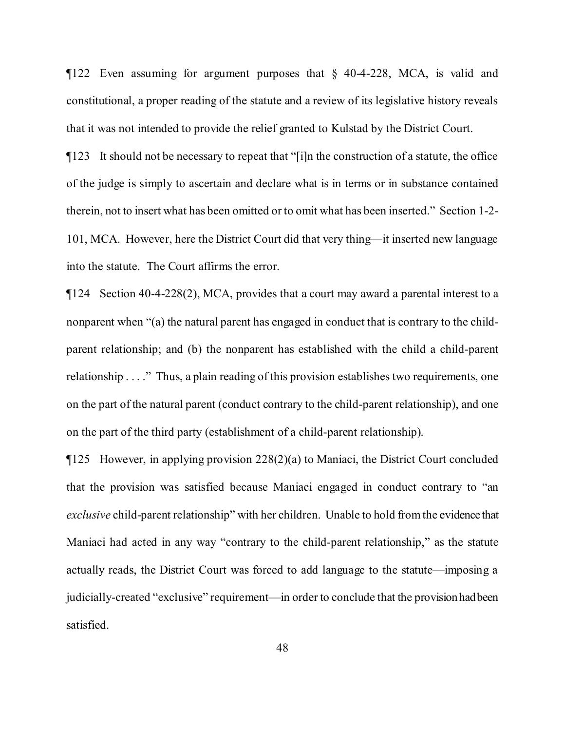¶122 Even assuming for argument purposes that § 40-4-228, MCA, is valid and constitutional, a proper reading of the statute and a review of its legislative history reveals that it was not intended to provide the relief granted to Kulstad by the District Court.

¶123 It should not be necessary to repeat that "[i]n the construction of a statute, the office of the judge is simply to ascertain and declare what is in terms or in substance contained therein, not to insert what has been omitted or to omit what has been inserted." Section 1-2- 101, MCA. However, here the District Court did that very thing—it inserted new language into the statute. The Court affirms the error.

¶124 Section 40-4-228(2), MCA, provides that a court may award a parental interest to a nonparent when "(a) the natural parent has engaged in conduct that is contrary to the childparent relationship; and (b) the nonparent has established with the child a child-parent relationship . . . ." Thus, a plain reading of this provision establishes two requirements, one on the part of the natural parent (conduct contrary to the child-parent relationship), and one on the part of the third party (establishment of a child-parent relationship).

¶125 However, in applying provision 228(2)(a) to Maniaci, the District Court concluded that the provision was satisfied because Maniaci engaged in conduct contrary to "an *exclusive* child-parent relationship" with her children. Unable to hold fromthe evidence that Maniaci had acted in any way "contrary to the child-parent relationship," as the statute actually reads, the District Court was forced to add language to the statute—imposing a judicially-created "exclusive" requirement—in order to conclude that the provision hadbeen satisfied.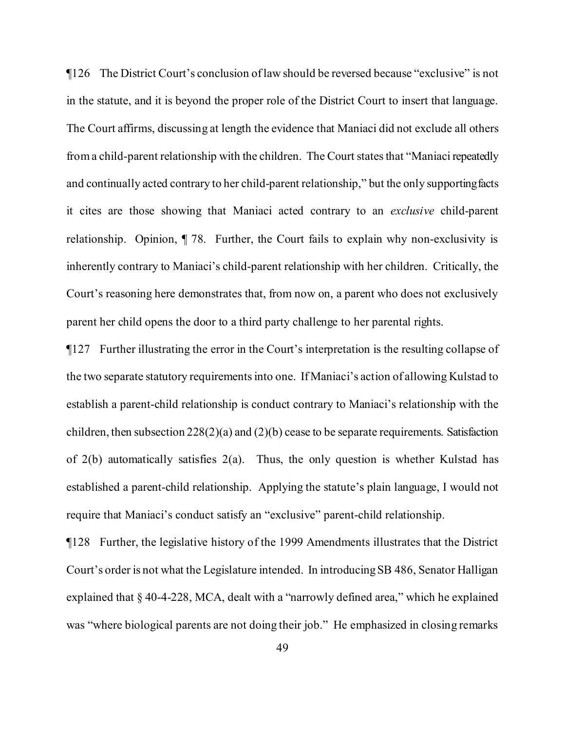¶126 The District Court's conclusion oflaw should be reversed because "exclusive" is not in the statute, and it is beyond the proper role of the District Court to insert that language. The Court affirms, discussing at length the evidence that Maniaci did not exclude all others from a child-parent relationship with the children. The Court states that "Maniaci repeatedly and continually acted contrary to her child-parent relationship," but the only supportingfacts it cites are those showing that Maniaci acted contrary to an *exclusive* child-parent relationship. Opinion, ¶ 78. Further, the Court fails to explain why non-exclusivity is inherently contrary to Maniaci's child-parent relationship with her children. Critically, the Court's reasoning here demonstrates that, from now on, a parent who does not exclusively parent her child opens the door to a third party challenge to her parental rights.

¶127 Further illustrating the error in the Court's interpretation is the resulting collapse of the two separate statutory requirementsinto one. If Maniaci's action of allowing Kulstad to establish a parent-child relationship is conduct contrary to Maniaci's relationship with the children, then subsection 228(2)(a) and (2)(b) cease to be separate requirements. Satisfaction of 2(b) automatically satisfies 2(a). Thus, the only question is whether Kulstad has established a parent-child relationship. Applying the statute's plain language, I would not require that Maniaci's conduct satisfy an "exclusive" parent-child relationship.

¶128 Further, the legislative history of the 1999 Amendments illustrates that the District Court's order is not what the Legislature intended. In introducing SB 486, Senator Halligan explained that § 40-4-228, MCA, dealt with a "narrowly defined area," which he explained was "where biological parents are not doing their job." He emphasized in closing remarks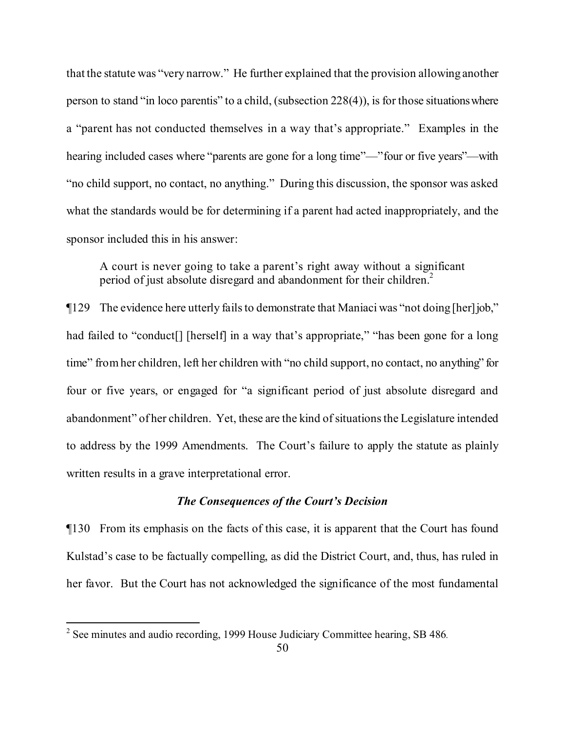that the statute was "very narrow." He further explained that the provision allowing another person to stand "in loco parentis" to a child, (subsection 228(4)), is for those situationswhere a "parent has not conducted themselves in a way that's appropriate." Examples in the hearing included cases where "parents are gone for a long time"—"four or five years"—with "no child support, no contact, no anything." During this discussion, the sponsor was asked what the standards would be for determining if a parent had acted inappropriately, and the sponsor included this in his answer:

A court is never going to take a parent's right away without a significant period of just absolute disregard and abandonment for their children.<sup>[2](#page-49-0)</sup>

¶129 The evidence here utterly failsto demonstrate that Maniaci was "not doing [her]job," had failed to "conduct<sup>[]</sup> [herself] in a way that's appropriate," "has been gone for a long time" fromher children, left her children with "no child support, no contact, no anything" for four or five years, or engaged for "a significant period of just absolute disregard and abandonment" of her children. Yet, these are the kind of situations the Legislature intended to address by the 1999 Amendments. The Court's failure to apply the statute as plainly written results in a grave interpretational error.

# *The Consequences of the Court's Decision*

¶130 From its emphasis on the facts of this case, it is apparent that the Court has found Kulstad's case to be factually compelling, as did the District Court, and, thus, has ruled in her favor. But the Court has not acknowledged the significance of the most fundamental

<span id="page-49-0"></span><sup>&</sup>lt;sup>2</sup> See minutes and audio recording, 1999 House Judiciary Committee hearing, SB 486.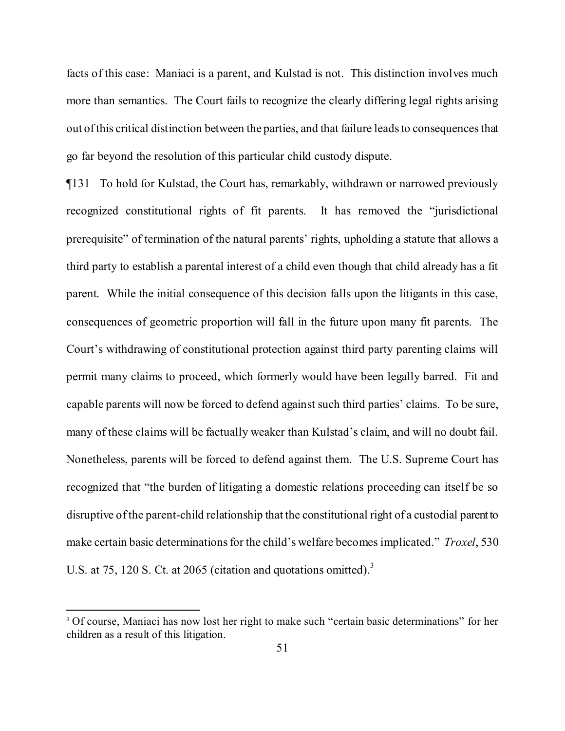facts of this case: Maniaci is a parent, and Kulstad is not. This distinction involves much more than semantics. The Court fails to recognize the clearly differing legal rights arising out of this critical distinction between the parties, and that failure leads to consequences that go far beyond the resolution of this particular child custody dispute.

¶131 To hold for Kulstad, the Court has, remarkably, withdrawn or narrowed previously recognized constitutional rights of fit parents. It has removed the "jurisdictional prerequisite" of termination of the natural parents' rights, upholding a statute that allows a third party to establish a parental interest of a child even though that child already has a fit parent. While the initial consequence of this decision falls upon the litigants in this case, consequences of geometric proportion will fall in the future upon many fit parents. The Court's withdrawing of constitutional protection against third party parenting claims will permit many claims to proceed, which formerly would have been legally barred. Fit and capable parents will now be forced to defend against such third parties' claims. To be sure, many of these claims will be factually weaker than Kulstad's claim, and will no doubt fail. Nonetheless, parents will be forced to defend against them. The U.S. Supreme Court has recognized that "the burden of litigating a domestic relations proceeding can itself be so disruptive of the parent-child relationship that the constitutional right of a custodial parent to make certain basic determinations for the child's welfare becomes implicated." *Troxel*, 530 U.S. at 75, 120 S. Ct. at 2065 (citation and quotations omitted).<sup>[3](#page-50-0)</sup>

<span id="page-50-0"></span><sup>&</sup>lt;sup>3</sup> Of course, Maniaci has now lost her right to make such "certain basic determinations" for her children as a result of this litigation.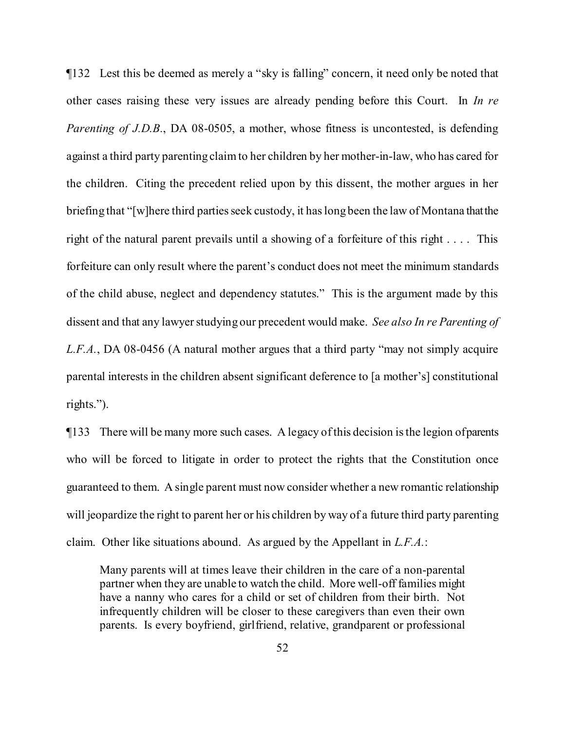¶132 Lest this be deemed as merely a "sky is falling" concern, it need only be noted that other cases raising these very issues are already pending before this Court. In *In re Parenting of J.D.B.*, DA 08-0505, a mother, whose fitness is uncontested, is defending against a third party parenting claimto her children by her mother-in-law, who has cared for the children. Citing the precedent relied upon by this dissent, the mother argues in her briefing that "[w]here third parties seek custody, it has long been the law of Montana that the right of the natural parent prevails until a showing of a forfeiture of this right . . . . This forfeiture can only result where the parent's conduct does not meet the minimum standards of the child abuse, neglect and dependency statutes." This is the argument made by this dissent and that any lawyer studying our precedent would make. *See also In re Parenting of L.F.A.*, DA 08-0456 (A natural mother argues that a third party "may not simply acquire parental interests in the children absent significant deference to [a mother's] constitutional rights.").

¶133 There will be many more such cases. A legacy ofthis decision isthe legion ofparents who will be forced to litigate in order to protect the rights that the Constitution once guaranteed to them. A single parent must now consider whether a new romantic relationship will jeopardize the right to parent her or his children by way of a future third party parenting claim. Other like situations abound. As argued by the Appellant in *L.F.A.*:

Many parents will at times leave their children in the care of a non-parental partner when they are unable to watch the child. More well-off families might have a nanny who cares for a child or set of children from their birth. Not infrequently children will be closer to these caregivers than even their own parents. Is every boyfriend, girlfriend, relative, grandparent or professional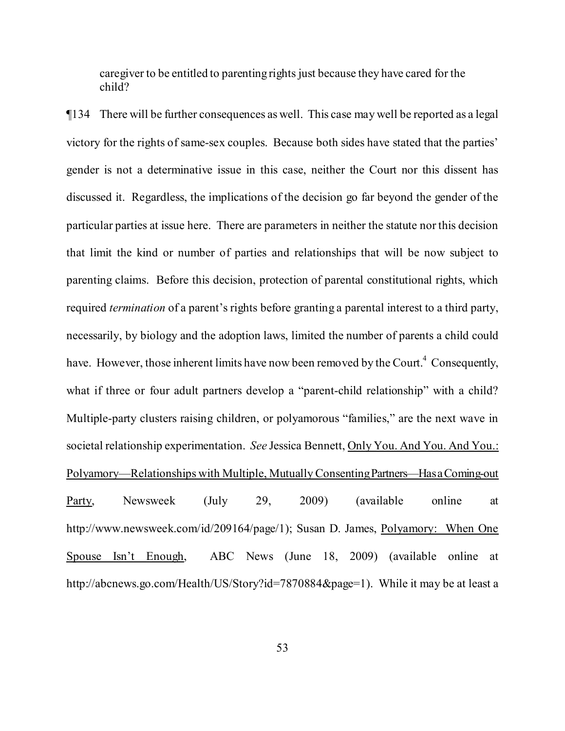caregiver to be entitled to parenting rights just because they have cared for the child?

<span id="page-52-0"></span>¶134 There will be further consequences as well. This case may well be reported as a legal victory for the rights of same-sex couples. Because both sides have stated that the parties' gender is not a determinative issue in this case, neither the Court nor this dissent has discussed it. Regardless, the implications of the decision go far beyond the gender of the particular parties at issue here. There are parameters in neither the statute nor this decision that limit the kind or number of parties and relationships that will be now subject to parenting claims. Before this decision, protection of parental constitutional rights, which required *termination* of a parent's rights before granting a parental interest to a third party, necessarily, by biology and the adoption laws, limited the number of parents a child could have. However, those inherent limits have now been removed by the Court.<sup>[4](#page-52-0)</sup> Consequently, what if three or four adult partners develop a "parent-child relationship" with a child? Multiple-party clusters raising children, or polyamorous "families," are the next wave in societal relationship experimentation. *See* Jessica Bennett, Only You. And You. And You.: Polyamory—Relationships with Multiple, MutuallyConsentingPartners—HasaComing-out Party, Newsweek (July 29, 2009) (available online at http://www.newsweek.com/id/209164/page/1); Susan D. James, Polyamory: When One Spouse Isn't Enough, ABC News (June 18, 2009) (available online at http://abcnews.go.com/Health/US/Story?id=7870884&page=1). While it may be at least a